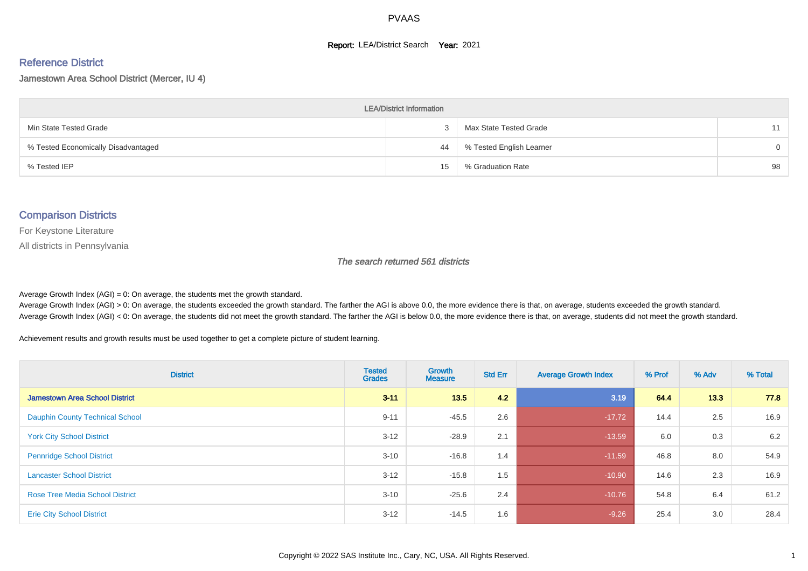#### **Report: LEA/District Search Year: 2021**

#### Reference District

#### Jamestown Area School District (Mercer, IU 4)

| <b>LEA/District Information</b>     |    |                          |          |  |  |  |  |  |  |  |
|-------------------------------------|----|--------------------------|----------|--|--|--|--|--|--|--|
| Min State Tested Grade              |    | Max State Tested Grade   | 11       |  |  |  |  |  |  |  |
| % Tested Economically Disadvantaged | 44 | % Tested English Learner | $\Omega$ |  |  |  |  |  |  |  |
| % Tested IEP                        | 15 | % Graduation Rate        | 98       |  |  |  |  |  |  |  |

#### Comparison Districts

For Keystone Literature

All districts in Pennsylvania

The search returned 561 districts

Average Growth Index  $(AGI) = 0$ : On average, the students met the growth standard.

Average Growth Index (AGI) > 0: On average, the students exceeded the growth standard. The farther the AGI is above 0.0, the more evidence there is that, on average, students exceeded the growth standard. Average Growth Index (AGI) < 0: On average, the students did not meet the growth standard. The farther the AGI is below 0.0, the more evidence there is that, on average, students did not meet the growth standard.

Achievement results and growth results must be used together to get a complete picture of student learning.

| <b>District</b>                        | <b>Tested</b><br><b>Grades</b> | Growth<br><b>Measure</b> | <b>Std Err</b> | <b>Average Growth Index</b> | % Prof | % Adv | % Total |
|----------------------------------------|--------------------------------|--------------------------|----------------|-----------------------------|--------|-------|---------|
| <b>Jamestown Area School District</b>  | $3 - 11$                       | 13.5                     | 4.2            | 3.19                        | 64.4   | 13.3  | 77.8    |
| <b>Dauphin County Technical School</b> | $9 - 11$                       | $-45.5$                  | 2.6            | $-17.72$                    | 14.4   | 2.5   | 16.9    |
| <b>York City School District</b>       | $3 - 12$                       | $-28.9$                  | 2.1            | $-13.59$                    | 6.0    | 0.3   | 6.2     |
| <b>Pennridge School District</b>       | $3 - 10$                       | $-16.8$                  | 1.4            | $-11.59$                    | 46.8   | 8.0   | 54.9    |
| <b>Lancaster School District</b>       | $3 - 12$                       | $-15.8$                  | 1.5            | $-10.90$                    | 14.6   | 2.3   | 16.9    |
| <b>Rose Tree Media School District</b> | $3 - 10$                       | $-25.6$                  | 2.4            | $-10.76$                    | 54.8   | 6.4   | 61.2    |
| <b>Erie City School District</b>       | $3 - 12$                       | $-14.5$                  | 1.6            | $-9.26$                     | 25.4   | 3.0   | 28.4    |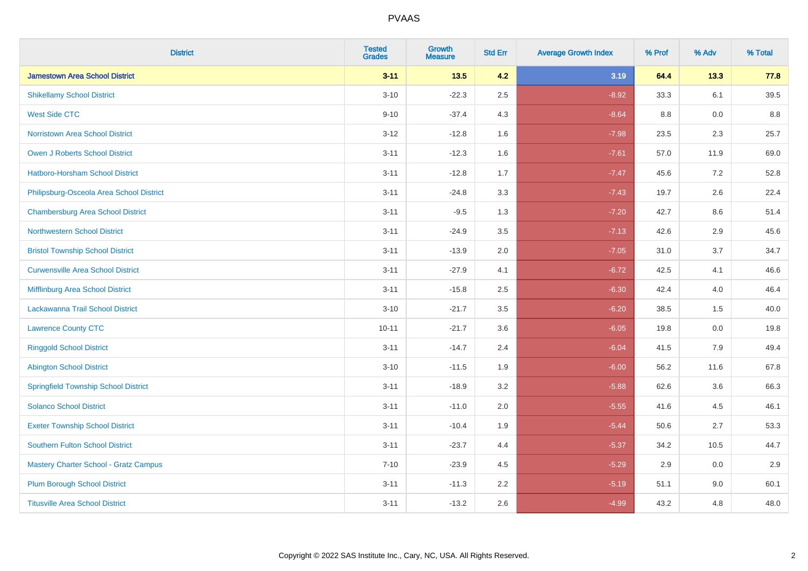| <b>District</b>                             | <b>Tested</b><br><b>Grades</b> | <b>Growth</b><br><b>Measure</b> | <b>Std Err</b> | <b>Average Growth Index</b> | % Prof | % Adv   | % Total |
|---------------------------------------------|--------------------------------|---------------------------------|----------------|-----------------------------|--------|---------|---------|
| <b>Jamestown Area School District</b>       | $3 - 11$                       | $13.5$                          | 4.2            | 3.19                        | 64.4   | 13.3    | 77.8    |
| <b>Shikellamy School District</b>           | $3 - 10$                       | $-22.3$                         | 2.5            | $-8.92$                     | 33.3   | 6.1     | 39.5    |
| <b>West Side CTC</b>                        | $9 - 10$                       | $-37.4$                         | 4.3            | $-8.64$                     | 8.8    | 0.0     | 8.8     |
| <b>Norristown Area School District</b>      | $3 - 12$                       | $-12.8$                         | 1.6            | $-7.98$                     | 23.5   | $2.3\,$ | 25.7    |
| <b>Owen J Roberts School District</b>       | $3 - 11$                       | $-12.3$                         | 1.6            | $-7.61$                     | 57.0   | 11.9    | 69.0    |
| <b>Hatboro-Horsham School District</b>      | $3 - 11$                       | $-12.8$                         | 1.7            | $-7.47$                     | 45.6   | 7.2     | 52.8    |
| Philipsburg-Osceola Area School District    | $3 - 11$                       | $-24.8$                         | 3.3            | $-7.43$                     | 19.7   | 2.6     | 22.4    |
| <b>Chambersburg Area School District</b>    | $3 - 11$                       | $-9.5$                          | 1.3            | $-7.20$                     | 42.7   | 8.6     | 51.4    |
| <b>Northwestern School District</b>         | $3 - 11$                       | $-24.9$                         | 3.5            | $-7.13$                     | 42.6   | 2.9     | 45.6    |
| <b>Bristol Township School District</b>     | $3 - 11$                       | $-13.9$                         | 2.0            | $-7.05$                     | 31.0   | 3.7     | 34.7    |
| <b>Curwensville Area School District</b>    | $3 - 11$                       | $-27.9$                         | 4.1            | $-6.72$                     | 42.5   | 4.1     | 46.6    |
| Mifflinburg Area School District            | $3 - 11$                       | $-15.8$                         | 2.5            | $-6.30$                     | 42.4   | 4.0     | 46.4    |
| Lackawanna Trail School District            | $3 - 10$                       | $-21.7$                         | 3.5            | $-6.20$                     | 38.5   | 1.5     | 40.0    |
| <b>Lawrence County CTC</b>                  | $10 - 11$                      | $-21.7$                         | 3.6            | $-6.05$                     | 19.8   | 0.0     | 19.8    |
| <b>Ringgold School District</b>             | $3 - 11$                       | $-14.7$                         | 2.4            | $-6.04$                     | 41.5   | 7.9     | 49.4    |
| <b>Abington School District</b>             | $3 - 10$                       | $-11.5$                         | 1.9            | $-6.00$                     | 56.2   | 11.6    | 67.8    |
| <b>Springfield Township School District</b> | $3 - 11$                       | $-18.9$                         | 3.2            | $-5.88$                     | 62.6   | 3.6     | 66.3    |
| <b>Solanco School District</b>              | $3 - 11$                       | $-11.0$                         | 2.0            | $-5.55$                     | 41.6   | 4.5     | 46.1    |
| <b>Exeter Township School District</b>      | $3 - 11$                       | $-10.4$                         | 1.9            | $-5.44$                     | 50.6   | 2.7     | 53.3    |
| <b>Southern Fulton School District</b>      | $3 - 11$                       | $-23.7$                         | 4.4            | $-5.37$                     | 34.2   | 10.5    | 44.7    |
| Mastery Charter School - Gratz Campus       | $7 - 10$                       | $-23.9$                         | 4.5            | $-5.29$                     | 2.9    | 0.0     | 2.9     |
| <b>Plum Borough School District</b>         | $3 - 11$                       | $-11.3$                         | 2.2            | $-5.19$                     | 51.1   | 9.0     | 60.1    |
| <b>Titusville Area School District</b>      | $3 - 11$                       | $-13.2$                         | 2.6            | $-4.99$                     | 43.2   | 4.8     | 48.0    |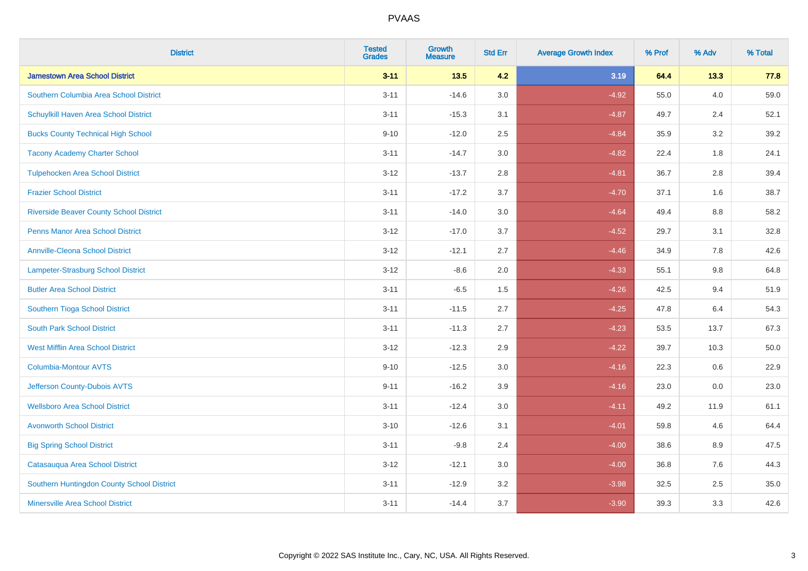| <b>District</b>                                | <b>Tested</b><br><b>Grades</b> | <b>Growth</b><br><b>Measure</b> | <b>Std Err</b> | <b>Average Growth Index</b> | % Prof | % Adv | % Total |
|------------------------------------------------|--------------------------------|---------------------------------|----------------|-----------------------------|--------|-------|---------|
| <b>Jamestown Area School District</b>          | $3 - 11$                       | $13.5$                          | 4.2            | 3.19                        | 64.4   | 13.3  | 77.8    |
| Southern Columbia Area School District         | $3 - 11$                       | $-14.6$                         | 3.0            | $-4.92$                     | 55.0   | 4.0   | 59.0    |
| Schuylkill Haven Area School District          | $3 - 11$                       | $-15.3$                         | 3.1            | $-4.87$                     | 49.7   | 2.4   | 52.1    |
| <b>Bucks County Technical High School</b>      | $9 - 10$                       | $-12.0$                         | 2.5            | $-4.84$                     | 35.9   | 3.2   | 39.2    |
| <b>Tacony Academy Charter School</b>           | $3 - 11$                       | $-14.7$                         | 3.0            | $-4.82$                     | 22.4   | 1.8   | 24.1    |
| <b>Tulpehocken Area School District</b>        | $3 - 12$                       | $-13.7$                         | 2.8            | $-4.81$                     | 36.7   | 2.8   | 39.4    |
| <b>Frazier School District</b>                 | $3 - 11$                       | $-17.2$                         | 3.7            | $-4.70$                     | 37.1   | 1.6   | 38.7    |
| <b>Riverside Beaver County School District</b> | $3 - 11$                       | $-14.0$                         | 3.0            | $-4.64$                     | 49.4   | 8.8   | 58.2    |
| <b>Penns Manor Area School District</b>        | $3 - 12$                       | $-17.0$                         | 3.7            | $-4.52$                     | 29.7   | 3.1   | 32.8    |
| <b>Annville-Cleona School District</b>         | $3 - 12$                       | $-12.1$                         | 2.7            | $-4.46$                     | 34.9   | 7.8   | 42.6    |
| Lampeter-Strasburg School District             | $3 - 12$                       | $-8.6$                          | 2.0            | $-4.33$                     | 55.1   | 9.8   | 64.8    |
| <b>Butler Area School District</b>             | $3 - 11$                       | $-6.5$                          | 1.5            | $-4.26$                     | 42.5   | 9.4   | 51.9    |
| Southern Tioga School District                 | $3 - 11$                       | $-11.5$                         | 2.7            | $-4.25$                     | 47.8   | 6.4   | 54.3    |
| <b>South Park School District</b>              | $3 - 11$                       | $-11.3$                         | 2.7            | $-4.23$                     | 53.5   | 13.7  | 67.3    |
| <b>West Mifflin Area School District</b>       | $3 - 12$                       | $-12.3$                         | 2.9            | $-4.22$                     | 39.7   | 10.3  | 50.0    |
| <b>Columbia-Montour AVTS</b>                   | $9 - 10$                       | $-12.5$                         | 3.0            | $-4.16$                     | 22.3   | 0.6   | 22.9    |
| Jefferson County-Dubois AVTS                   | $9 - 11$                       | $-16.2$                         | 3.9            | $-4.16$                     | 23.0   | 0.0   | 23.0    |
| <b>Wellsboro Area School District</b>          | $3 - 11$                       | $-12.4$                         | 3.0            | $-4.11$                     | 49.2   | 11.9  | 61.1    |
| <b>Avonworth School District</b>               | $3 - 10$                       | $-12.6$                         | 3.1            | $-4.01$                     | 59.8   | 4.6   | 64.4    |
| <b>Big Spring School District</b>              | $3 - 11$                       | $-9.8$                          | 2.4            | $-4.00$                     | 38.6   | 8.9   | 47.5    |
| Catasauqua Area School District                | $3 - 12$                       | $-12.1$                         | 3.0            | $-4.00$                     | 36.8   | 7.6   | 44.3    |
| Southern Huntingdon County School District     | $3 - 11$                       | $-12.9$                         | 3.2            | $-3.98$                     | 32.5   | 2.5   | 35.0    |
| <b>Minersville Area School District</b>        | $3 - 11$                       | $-14.4$                         | 3.7            | $-3.90$                     | 39.3   | 3.3   | 42.6    |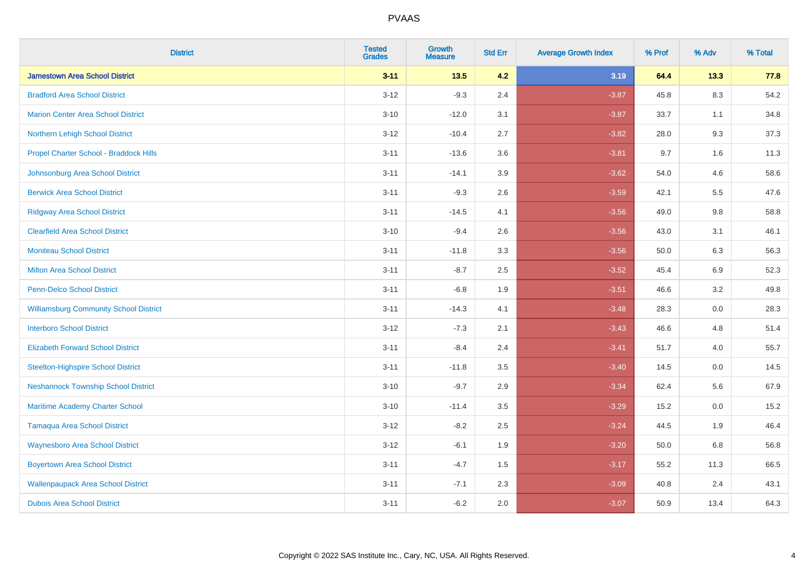| <b>District</b>                               | <b>Tested</b><br><b>Grades</b> | <b>Growth</b><br><b>Measure</b> | <b>Std Err</b> | <b>Average Growth Index</b> | % Prof | % Adv   | % Total |
|-----------------------------------------------|--------------------------------|---------------------------------|----------------|-----------------------------|--------|---------|---------|
| <b>Jamestown Area School District</b>         | $3 - 11$                       | $13.5$                          | 4.2            | 3.19                        | 64.4   | 13.3    | 77.8    |
| <b>Bradford Area School District</b>          | $3 - 12$                       | $-9.3$                          | 2.4            | $-3.87$                     | 45.8   | $8.3\,$ | 54.2    |
| <b>Marion Center Area School District</b>     | $3 - 10$                       | $-12.0$                         | 3.1            | $-3.87$                     | 33.7   | 1.1     | 34.8    |
| Northern Lehigh School District               | $3 - 12$                       | $-10.4$                         | 2.7            | $-3.82$                     | 28.0   | 9.3     | 37.3    |
| Propel Charter School - Braddock Hills        | $3 - 11$                       | $-13.6$                         | 3.6            | $-3.81$                     | 9.7    | 1.6     | 11.3    |
| Johnsonburg Area School District              | $3 - 11$                       | $-14.1$                         | 3.9            | $-3.62$                     | 54.0   | 4.6     | 58.6    |
| <b>Berwick Area School District</b>           | $3 - 11$                       | $-9.3$                          | 2.6            | $-3.59$                     | 42.1   | 5.5     | 47.6    |
| <b>Ridgway Area School District</b>           | $3 - 11$                       | $-14.5$                         | 4.1            | $-3.56$                     | 49.0   | 9.8     | 58.8    |
| <b>Clearfield Area School District</b>        | $3 - 10$                       | $-9.4$                          | 2.6            | $-3.56$                     | 43.0   | 3.1     | 46.1    |
| <b>Moniteau School District</b>               | $3 - 11$                       | $-11.8$                         | 3.3            | $-3.56$                     | 50.0   | 6.3     | 56.3    |
| <b>Milton Area School District</b>            | $3 - 11$                       | $-8.7$                          | 2.5            | $-3.52$                     | 45.4   | 6.9     | 52.3    |
| <b>Penn-Delco School District</b>             | $3 - 11$                       | $-6.8$                          | 1.9            | $-3.51$                     | 46.6   | 3.2     | 49.8    |
| <b>Williamsburg Community School District</b> | $3 - 11$                       | $-14.3$                         | 4.1            | $-3.48$                     | 28.3   | $0.0\,$ | 28.3    |
| <b>Interboro School District</b>              | $3 - 12$                       | $-7.3$                          | 2.1            | $-3.43$                     | 46.6   | 4.8     | 51.4    |
| <b>Elizabeth Forward School District</b>      | $3 - 11$                       | $-8.4$                          | 2.4            | $-3.41$                     | 51.7   | 4.0     | 55.7    |
| <b>Steelton-Highspire School District</b>     | $3 - 11$                       | $-11.8$                         | 3.5            | $-3.40$                     | 14.5   | $0.0\,$ | 14.5    |
| <b>Neshannock Township School District</b>    | $3 - 10$                       | $-9.7$                          | 2.9            | $-3.34$                     | 62.4   | 5.6     | 67.9    |
| Maritime Academy Charter School               | $3 - 10$                       | $-11.4$                         | 3.5            | $-3.29$                     | 15.2   | 0.0     | 15.2    |
| <b>Tamaqua Area School District</b>           | $3 - 12$                       | $-8.2$                          | 2.5            | $-3.24$                     | 44.5   | 1.9     | 46.4    |
| <b>Waynesboro Area School District</b>        | $3 - 12$                       | $-6.1$                          | 1.9            | $-3.20$                     | 50.0   | 6.8     | 56.8    |
| <b>Boyertown Area School District</b>         | $3 - 11$                       | $-4.7$                          | 1.5            | $-3.17$                     | 55.2   | 11.3    | 66.5    |
| <b>Wallenpaupack Area School District</b>     | $3 - 11$                       | $-7.1$                          | 2.3            | $-3.09$                     | 40.8   | 2.4     | 43.1    |
| <b>Dubois Area School District</b>            | $3 - 11$                       | $-6.2$                          | 2.0            | $-3.07$                     | 50.9   | 13.4    | 64.3    |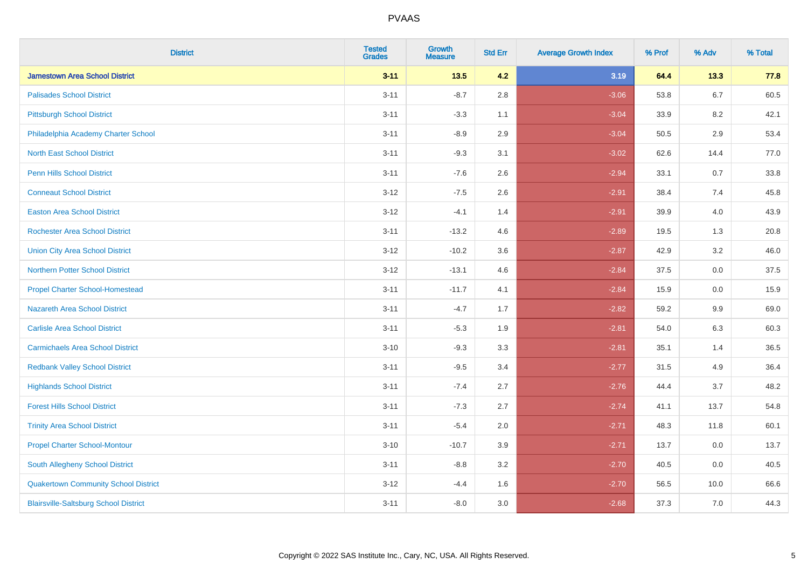| <b>District</b>                              | <b>Tested</b><br><b>Grades</b> | <b>Growth</b><br><b>Measure</b> | <b>Std Err</b> | <b>Average Growth Index</b> | % Prof | % Adv   | % Total |
|----------------------------------------------|--------------------------------|---------------------------------|----------------|-----------------------------|--------|---------|---------|
| <b>Jamestown Area School District</b>        | $3 - 11$                       | $13.5$                          | 4.2            | 3.19                        | 64.4   | 13.3    | 77.8    |
| <b>Palisades School District</b>             | $3 - 11$                       | $-8.7$                          | 2.8            | $-3.06$                     | 53.8   | $6.7\,$ | 60.5    |
| <b>Pittsburgh School District</b>            | $3 - 11$                       | $-3.3$                          | 1.1            | $-3.04$                     | 33.9   | 8.2     | 42.1    |
| Philadelphia Academy Charter School          | $3 - 11$                       | $-8.9$                          | 2.9            | $-3.04$                     | 50.5   | 2.9     | 53.4    |
| <b>North East School District</b>            | $3 - 11$                       | $-9.3$                          | 3.1            | $-3.02$                     | 62.6   | 14.4    | 77.0    |
| <b>Penn Hills School District</b>            | $3 - 11$                       | $-7.6$                          | 2.6            | $-2.94$                     | 33.1   | 0.7     | 33.8    |
| <b>Conneaut School District</b>              | $3 - 12$                       | $-7.5$                          | 2.6            | $-2.91$                     | 38.4   | 7.4     | 45.8    |
| <b>Easton Area School District</b>           | $3 - 12$                       | $-4.1$                          | 1.4            | $-2.91$                     | 39.9   | 4.0     | 43.9    |
| <b>Rochester Area School District</b>        | $3 - 11$                       | $-13.2$                         | 4.6            | $-2.89$                     | 19.5   | 1.3     | 20.8    |
| <b>Union City Area School District</b>       | $3 - 12$                       | $-10.2$                         | 3.6            | $-2.87$                     | 42.9   | 3.2     | 46.0    |
| <b>Northern Potter School District</b>       | $3 - 12$                       | $-13.1$                         | 4.6            | $-2.84$                     | 37.5   | 0.0     | 37.5    |
| <b>Propel Charter School-Homestead</b>       | $3 - 11$                       | $-11.7$                         | 4.1            | $-2.84$                     | 15.9   | 0.0     | 15.9    |
| Nazareth Area School District                | $3 - 11$                       | $-4.7$                          | 1.7            | $-2.82$                     | 59.2   | $9.9\,$ | 69.0    |
| <b>Carlisle Area School District</b>         | $3 - 11$                       | $-5.3$                          | 1.9            | $-2.81$                     | 54.0   | 6.3     | 60.3    |
| <b>Carmichaels Area School District</b>      | $3 - 10$                       | $-9.3$                          | 3.3            | $-2.81$                     | 35.1   | 1.4     | 36.5    |
| <b>Redbank Valley School District</b>        | $3 - 11$                       | $-9.5$                          | 3.4            | $-2.77$                     | 31.5   | 4.9     | 36.4    |
| <b>Highlands School District</b>             | $3 - 11$                       | $-7.4$                          | 2.7            | $-2.76$                     | 44.4   | 3.7     | 48.2    |
| <b>Forest Hills School District</b>          | $3 - 11$                       | $-7.3$                          | 2.7            | $-2.74$                     | 41.1   | 13.7    | 54.8    |
| <b>Trinity Area School District</b>          | $3 - 11$                       | $-5.4$                          | 2.0            | $-2.71$                     | 48.3   | 11.8    | 60.1    |
| <b>Propel Charter School-Montour</b>         | $3 - 10$                       | $-10.7$                         | 3.9            | $-2.71$                     | 13.7   | 0.0     | 13.7    |
| South Allegheny School District              | $3 - 11$                       | $-8.8$                          | 3.2            | $-2.70$                     | 40.5   | 0.0     | 40.5    |
| <b>Quakertown Community School District</b>  | $3 - 12$                       | $-4.4$                          | 1.6            | $-2.70$                     | 56.5   | 10.0    | 66.6    |
| <b>Blairsville-Saltsburg School District</b> | $3 - 11$                       | $-8.0$                          | 3.0            | $-2.68$                     | 37.3   | 7.0     | 44.3    |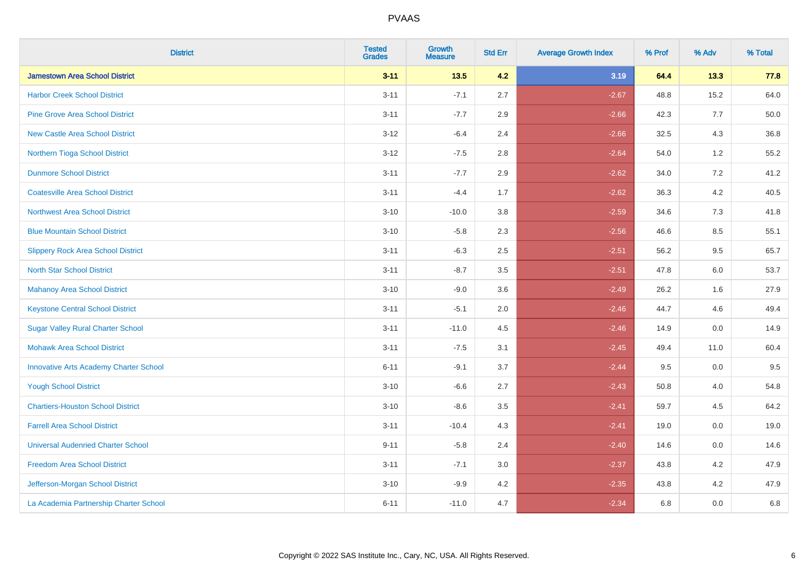| <b>District</b>                               | <b>Tested</b><br><b>Grades</b> | <b>Growth</b><br><b>Measure</b> | <b>Std Err</b> | <b>Average Growth Index</b> | % Prof | % Adv   | % Total |
|-----------------------------------------------|--------------------------------|---------------------------------|----------------|-----------------------------|--------|---------|---------|
| <b>Jamestown Area School District</b>         | $3 - 11$                       | $13.5$                          | 4.2            | 3.19                        | 64.4   | 13.3    | 77.8    |
| <b>Harbor Creek School District</b>           | $3 - 11$                       | $-7.1$                          | 2.7            | $-2.67$                     | 48.8   | 15.2    | 64.0    |
| <b>Pine Grove Area School District</b>        | $3 - 11$                       | $-7.7$                          | 2.9            | $-2.66$                     | 42.3   | 7.7     | 50.0    |
| <b>New Castle Area School District</b>        | $3 - 12$                       | $-6.4$                          | 2.4            | $-2.66$                     | 32.5   | 4.3     | 36.8    |
| Northern Tioga School District                | $3 - 12$                       | $-7.5$                          | 2.8            | $-2.64$                     | 54.0   | 1.2     | 55.2    |
| <b>Dunmore School District</b>                | $3 - 11$                       | $-7.7$                          | 2.9            | $-2.62$                     | 34.0   | 7.2     | 41.2    |
| <b>Coatesville Area School District</b>       | $3 - 11$                       | $-4.4$                          | 1.7            | $-2.62$                     | 36.3   | 4.2     | 40.5    |
| <b>Northwest Area School District</b>         | $3 - 10$                       | $-10.0$                         | 3.8            | $-2.59$                     | 34.6   | 7.3     | 41.8    |
| <b>Blue Mountain School District</b>          | $3 - 10$                       | $-5.8$                          | 2.3            | $-2.56$                     | 46.6   | 8.5     | 55.1    |
| <b>Slippery Rock Area School District</b>     | $3 - 11$                       | $-6.3$                          | 2.5            | $-2.51$                     | 56.2   | 9.5     | 65.7    |
| <b>North Star School District</b>             | $3 - 11$                       | $-8.7$                          | 3.5            | $-2.51$                     | 47.8   | 6.0     | 53.7    |
| <b>Mahanoy Area School District</b>           | $3 - 10$                       | $-9.0$                          | 3.6            | $-2.49$                     | 26.2   | 1.6     | 27.9    |
| <b>Keystone Central School District</b>       | $3 - 11$                       | $-5.1$                          | 2.0            | $-2.46$                     | 44.7   | 4.6     | 49.4    |
| <b>Sugar Valley Rural Charter School</b>      | $3 - 11$                       | $-11.0$                         | 4.5            | $-2.46$                     | 14.9   | 0.0     | 14.9    |
| <b>Mohawk Area School District</b>            | $3 - 11$                       | $-7.5$                          | 3.1            | $-2.45$                     | 49.4   | 11.0    | 60.4    |
| <b>Innovative Arts Academy Charter School</b> | $6 - 11$                       | $-9.1$                          | 3.7            | $-2.44$                     | 9.5    | $0.0\,$ | 9.5     |
| <b>Yough School District</b>                  | $3 - 10$                       | $-6.6$                          | 2.7            | $-2.43$                     | 50.8   | 4.0     | 54.8    |
| <b>Chartiers-Houston School District</b>      | $3 - 10$                       | $-8.6$                          | 3.5            | $-2.41$                     | 59.7   | 4.5     | 64.2    |
| <b>Farrell Area School District</b>           | $3 - 11$                       | $-10.4$                         | 4.3            | $-2.41$                     | 19.0   | 0.0     | 19.0    |
| <b>Universal Audenried Charter School</b>     | $9 - 11$                       | $-5.8$                          | 2.4            | $-2.40$                     | 14.6   | 0.0     | 14.6    |
| <b>Freedom Area School District</b>           | $3 - 11$                       | $-7.1$                          | 3.0            | $-2.37$                     | 43.8   | 4.2     | 47.9    |
| Jefferson-Morgan School District              | $3 - 10$                       | $-9.9$                          | 4.2            | $-2.35$                     | 43.8   | 4.2     | 47.9    |
| La Academia Partnership Charter School        | $6 - 11$                       | $-11.0$                         | 4.7            | $-2.34$                     | 6.8    | 0.0     | 6.8     |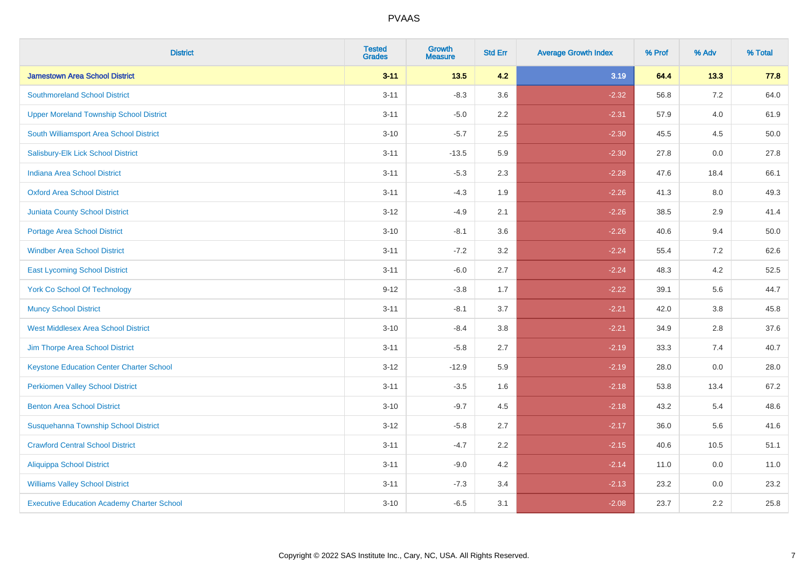| <b>District</b>                                   | <b>Tested</b><br><b>Grades</b> | <b>Growth</b><br><b>Measure</b> | <b>Std Err</b> | <b>Average Growth Index</b> | % Prof | % Adv   | % Total |
|---------------------------------------------------|--------------------------------|---------------------------------|----------------|-----------------------------|--------|---------|---------|
| <b>Jamestown Area School District</b>             | $3 - 11$                       | $13.5$                          | 4.2            | 3.19                        | 64.4   | 13.3    | 77.8    |
| <b>Southmoreland School District</b>              | $3 - 11$                       | $-8.3$                          | 3.6            | $-2.32$                     | 56.8   | $7.2\,$ | 64.0    |
| <b>Upper Moreland Township School District</b>    | $3 - 11$                       | $-5.0$                          | 2.2            | $-2.31$                     | 57.9   | 4.0     | 61.9    |
| South Williamsport Area School District           | $3 - 10$                       | $-5.7$                          | 2.5            | $-2.30$                     | 45.5   | 4.5     | 50.0    |
| Salisbury-Elk Lick School District                | $3 - 11$                       | $-13.5$                         | 5.9            | $-2.30$                     | 27.8   | 0.0     | 27.8    |
| Indiana Area School District                      | $3 - 11$                       | $-5.3$                          | 2.3            | $-2.28$                     | 47.6   | 18.4    | 66.1    |
| <b>Oxford Area School District</b>                | $3 - 11$                       | $-4.3$                          | 1.9            | $-2.26$                     | 41.3   | 8.0     | 49.3    |
| <b>Juniata County School District</b>             | $3 - 12$                       | $-4.9$                          | 2.1            | $-2.26$                     | 38.5   | 2.9     | 41.4    |
| <b>Portage Area School District</b>               | $3 - 10$                       | $-8.1$                          | 3.6            | $-2.26$                     | 40.6   | 9.4     | 50.0    |
| <b>Windber Area School District</b>               | $3 - 11$                       | $-7.2$                          | 3.2            | $-2.24$                     | 55.4   | 7.2     | 62.6    |
| <b>East Lycoming School District</b>              | $3 - 11$                       | $-6.0$                          | 2.7            | $-2.24$                     | 48.3   | 4.2     | 52.5    |
| <b>York Co School Of Technology</b>               | $9 - 12$                       | $-3.8$                          | 1.7            | $-2.22$                     | 39.1   | 5.6     | 44.7    |
| <b>Muncy School District</b>                      | $3 - 11$                       | $-8.1$                          | 3.7            | $-2.21$                     | 42.0   | $3.8\,$ | 45.8    |
| <b>West Middlesex Area School District</b>        | $3 - 10$                       | $-8.4$                          | $3.8\,$        | $-2.21$                     | 34.9   | 2.8     | 37.6    |
| Jim Thorpe Area School District                   | $3 - 11$                       | $-5.8$                          | 2.7            | $-2.19$                     | 33.3   | 7.4     | 40.7    |
| <b>Keystone Education Center Charter School</b>   | $3 - 12$                       | $-12.9$                         | 5.9            | $-2.19$                     | 28.0   | $0.0\,$ | 28.0    |
| <b>Perkiomen Valley School District</b>           | $3 - 11$                       | $-3.5$                          | 1.6            | $-2.18$                     | 53.8   | 13.4    | 67.2    |
| <b>Benton Area School District</b>                | $3 - 10$                       | $-9.7$                          | 4.5            | $-2.18$                     | 43.2   | 5.4     | 48.6    |
| Susquehanna Township School District              | $3 - 12$                       | $-5.8$                          | 2.7            | $-2.17$                     | 36.0   | 5.6     | 41.6    |
| <b>Crawford Central School District</b>           | $3 - 11$                       | $-4.7$                          | 2.2            | $-2.15$                     | 40.6   | 10.5    | 51.1    |
| <b>Aliquippa School District</b>                  | $3 - 11$                       | $-9.0$                          | 4.2            | $-2.14$                     | 11.0   | 0.0     | 11.0    |
| <b>Williams Valley School District</b>            | $3 - 11$                       | $-7.3$                          | 3.4            | $-2.13$                     | 23.2   | 0.0     | 23.2    |
| <b>Executive Education Academy Charter School</b> | $3 - 10$                       | $-6.5$                          | 3.1            | $-2.08$                     | 23.7   | 2.2     | 25.8    |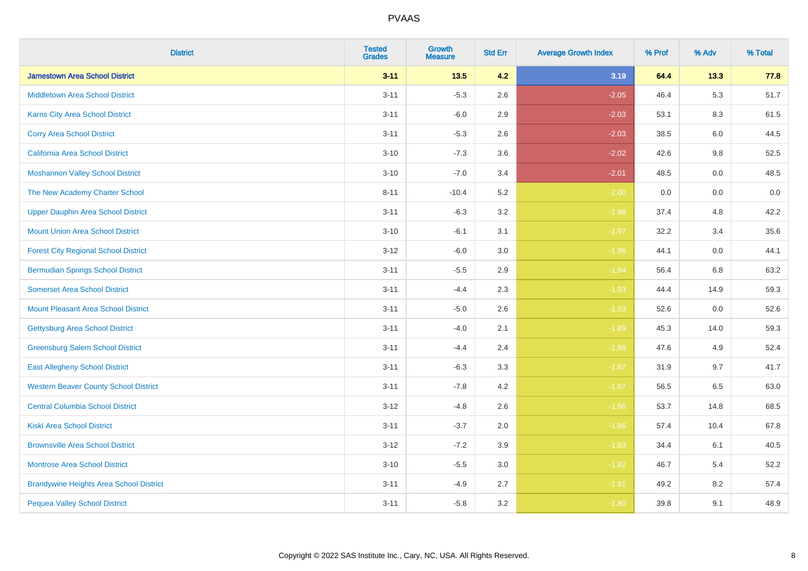| <b>District</b>                                | <b>Tested</b><br><b>Grades</b> | <b>Growth</b><br><b>Measure</b> | <b>Std Err</b> | <b>Average Growth Index</b> | % Prof | % Adv | % Total |
|------------------------------------------------|--------------------------------|---------------------------------|----------------|-----------------------------|--------|-------|---------|
| <b>Jamestown Area School District</b>          | $3 - 11$                       | $13.5$                          | 4.2            | 3.19                        | 64.4   | 13.3  | 77.8    |
| <b>Middletown Area School District</b>         | $3 - 11$                       | $-5.3$                          | 2.6            | $-2.05$                     | 46.4   | 5.3   | 51.7    |
| <b>Karns City Area School District</b>         | $3 - 11$                       | $-6.0$                          | 2.9            | $-2.03$                     | 53.1   | 8.3   | 61.5    |
| <b>Corry Area School District</b>              | $3 - 11$                       | $-5.3$                          | 2.6            | $-2.03$                     | 38.5   | 6.0   | 44.5    |
| <b>California Area School District</b>         | $3 - 10$                       | $-7.3$                          | 3.6            | $-2.02$                     | 42.6   | 9.8   | 52.5    |
| <b>Moshannon Valley School District</b>        | $3 - 10$                       | $-7.0$                          | 3.4            | $-2.01$                     | 48.5   | 0.0   | 48.5    |
| The New Academy Charter School                 | $8 - 11$                       | $-10.4$                         | 5.2            | $-2.00$                     | 0.0    | 0.0   | 0.0     |
| <b>Upper Dauphin Area School District</b>      | $3 - 11$                       | $-6.3$                          | 3.2            | $-1.98$                     | 37.4   | 4.8   | 42.2    |
| <b>Mount Union Area School District</b>        | $3 - 10$                       | $-6.1$                          | 3.1            | $-1.97$                     | 32.2   | 3.4   | 35.6    |
| <b>Forest City Regional School District</b>    | $3 - 12$                       | $-6.0$                          | 3.0            | $-1.96$                     | 44.1   | 0.0   | 44.1    |
| <b>Bermudian Springs School District</b>       | $3 - 11$                       | $-5.5$                          | 2.9            | $-1.94$                     | 56.4   | 6.8   | 63.2    |
| <b>Somerset Area School District</b>           | $3 - 11$                       | $-4.4$                          | 2.3            | $-1.93$                     | 44.4   | 14.9  | 59.3    |
| <b>Mount Pleasant Area School District</b>     | $3 - 11$                       | $-5.0$                          | 2.6            | $-1.93$                     | 52.6   | 0.0   | 52.6    |
| Gettysburg Area School District                | $3 - 11$                       | $-4.0$                          | 2.1            | $-1.89$                     | 45.3   | 14.0  | 59.3    |
| <b>Greensburg Salem School District</b>        | $3 - 11$                       | $-4.4$                          | 2.4            | $-1.88$                     | 47.6   | 4.9   | 52.4    |
| <b>East Allegheny School District</b>          | $3 - 11$                       | $-6.3$                          | 3.3            | $-1.87$                     | 31.9   | 9.7   | 41.7    |
| <b>Western Beaver County School District</b>   | $3 - 11$                       | $-7.8$                          | 4.2            | $-1.87$                     | 56.5   | 6.5   | 63.0    |
| <b>Central Columbia School District</b>        | $3 - 12$                       | $-4.8$                          | 2.6            | $-1.86$                     | 53.7   | 14.8  | 68.5    |
| <b>Kiski Area School District</b>              | $3 - 11$                       | $-3.7$                          | 2.0            | $-1.86$                     | 57.4   | 10.4  | 67.8    |
| <b>Brownsville Area School District</b>        | $3 - 12$                       | $-7.2$                          | 3.9            | $-1.83$                     | 34.4   | 6.1   | 40.5    |
| <b>Montrose Area School District</b>           | $3 - 10$                       | $-5.5$                          | 3.0            | $-1.82$                     | 46.7   | 5.4   | 52.2    |
| <b>Brandywine Heights Area School District</b> | $3 - 11$                       | $-4.9$                          | 2.7            | $-1.81$                     | 49.2   | 8.2   | 57.4    |
| <b>Pequea Valley School District</b>           | $3 - 11$                       | $-5.8$                          | 3.2            | $-1.80$                     | 39.8   | 9.1   | 48.9    |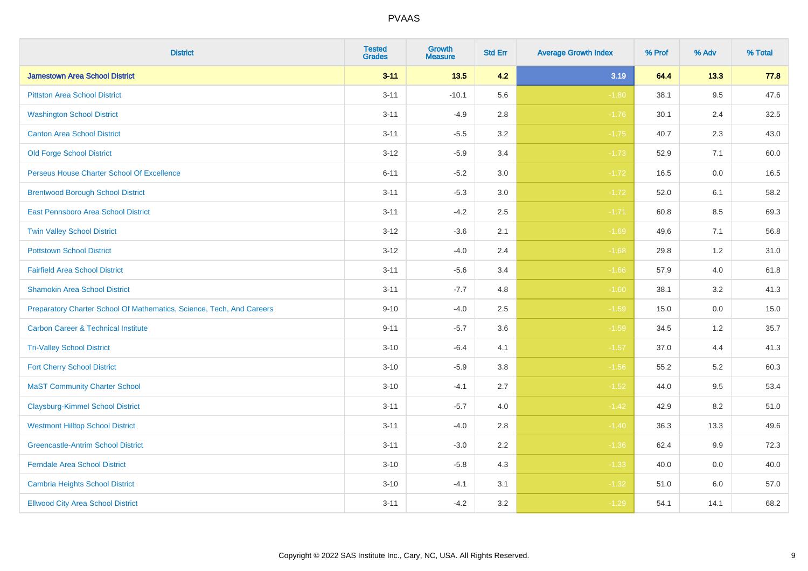| <b>District</b>                                                       | <b>Tested</b><br><b>Grades</b> | <b>Growth</b><br><b>Measure</b> | <b>Std Err</b> | <b>Average Growth Index</b> | % Prof | % Adv | % Total |
|-----------------------------------------------------------------------|--------------------------------|---------------------------------|----------------|-----------------------------|--------|-------|---------|
| <b>Jamestown Area School District</b>                                 | $3 - 11$                       | 13.5                            | 4.2            | 3.19                        | 64.4   | 13.3  | 77.8    |
| <b>Pittston Area School District</b>                                  | $3 - 11$                       | $-10.1$                         | 5.6            | $-1.80$                     | 38.1   | 9.5   | 47.6    |
| <b>Washington School District</b>                                     | $3 - 11$                       | $-4.9$                          | 2.8            | $-1.76$                     | 30.1   | 2.4   | 32.5    |
| <b>Canton Area School District</b>                                    | $3 - 11$                       | $-5.5$                          | $3.2\,$        | $-1.75$                     | 40.7   | 2.3   | 43.0    |
| <b>Old Forge School District</b>                                      | $3 - 12$                       | $-5.9$                          | 3.4            | $-1.73$                     | 52.9   | 7.1   | 60.0    |
| Perseus House Charter School Of Excellence                            | $6 - 11$                       | $-5.2$                          | 3.0            | $-1.72$                     | 16.5   | 0.0   | 16.5    |
| <b>Brentwood Borough School District</b>                              | $3 - 11$                       | $-5.3$                          | $3.0\,$        | $-1.72$                     | 52.0   | 6.1   | 58.2    |
| East Pennsboro Area School District                                   | $3 - 11$                       | $-4.2$                          | 2.5            | $-1.71$                     | 60.8   | 8.5   | 69.3    |
| <b>Twin Valley School District</b>                                    | $3 - 12$                       | $-3.6$                          | 2.1            | $-1.69$                     | 49.6   | 7.1   | 56.8    |
| <b>Pottstown School District</b>                                      | $3 - 12$                       | $-4.0$                          | 2.4            | $-1.68$                     | 29.8   | 1.2   | 31.0    |
| <b>Fairfield Area School District</b>                                 | $3 - 11$                       | $-5.6$                          | 3.4            | $-1.66$                     | 57.9   | 4.0   | 61.8    |
| <b>Shamokin Area School District</b>                                  | $3 - 11$                       | $-7.7$                          | 4.8            | $-1.60$                     | 38.1   | 3.2   | 41.3    |
| Preparatory Charter School Of Mathematics, Science, Tech, And Careers | $9 - 10$                       | $-4.0$                          | 2.5            | $-1.59$                     | 15.0   | 0.0   | 15.0    |
| <b>Carbon Career &amp; Technical Institute</b>                        | $9 - 11$                       | $-5.7$                          | 3.6            | $-1.59$                     | 34.5   | 1.2   | 35.7    |
| <b>Tri-Valley School District</b>                                     | $3 - 10$                       | $-6.4$                          | 4.1            | $-1.57$                     | 37.0   | 4.4   | 41.3    |
| <b>Fort Cherry School District</b>                                    | $3 - 10$                       | $-5.9$                          | 3.8            | $-1.56$                     | 55.2   | 5.2   | 60.3    |
| <b>MaST Community Charter School</b>                                  | $3 - 10$                       | $-4.1$                          | 2.7            | $-1.52$                     | 44.0   | 9.5   | 53.4    |
| <b>Claysburg-Kimmel School District</b>                               | $3 - 11$                       | $-5.7$                          | 4.0            | $-1.42$                     | 42.9   | 8.2   | 51.0    |
| <b>Westmont Hilltop School District</b>                               | $3 - 11$                       | $-4.0$                          | 2.8            | $-1.40$                     | 36.3   | 13.3  | 49.6    |
| <b>Greencastle-Antrim School District</b>                             | $3 - 11$                       | $-3.0$                          | 2.2            | $-1.36$                     | 62.4   | 9.9   | 72.3    |
| <b>Ferndale Area School District</b>                                  | $3 - 10$                       | $-5.8$                          | 4.3            | $-1.33$                     | 40.0   | 0.0   | 40.0    |
| <b>Cambria Heights School District</b>                                | $3 - 10$                       | $-4.1$                          | 3.1            | $-1.32$                     | 51.0   | 6.0   | 57.0    |
| <b>Ellwood City Area School District</b>                              | $3 - 11$                       | $-4.2$                          | 3.2            | $-1.29$                     | 54.1   | 14.1  | 68.2    |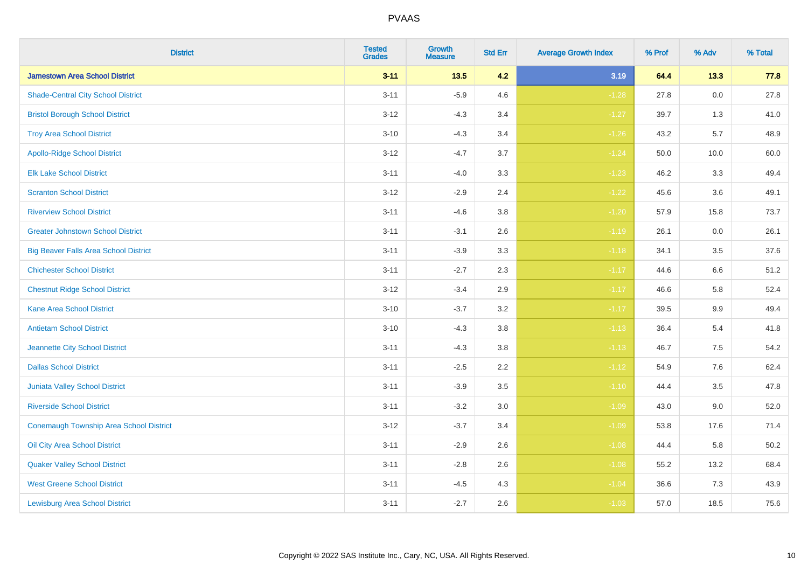| <b>District</b>                              | <b>Tested</b><br><b>Grades</b> | <b>Growth</b><br><b>Measure</b> | <b>Std Err</b> | <b>Average Growth Index</b> | % Prof | % Adv   | % Total |
|----------------------------------------------|--------------------------------|---------------------------------|----------------|-----------------------------|--------|---------|---------|
| <b>Jamestown Area School District</b>        | $3 - 11$                       | $13.5$                          | 4.2            | 3.19                        | 64.4   | 13.3    | 77.8    |
| <b>Shade-Central City School District</b>    | $3 - 11$                       | $-5.9$                          | 4.6            | $-1.28$                     | 27.8   | $0.0\,$ | 27.8    |
| <b>Bristol Borough School District</b>       | $3 - 12$                       | $-4.3$                          | 3.4            | $-1.27$                     | 39.7   | 1.3     | 41.0    |
| <b>Troy Area School District</b>             | $3 - 10$                       | $-4.3$                          | 3.4            | $-1.26$                     | 43.2   | 5.7     | 48.9    |
| <b>Apollo-Ridge School District</b>          | $3 - 12$                       | $-4.7$                          | 3.7            | $-1.24$                     | 50.0   | 10.0    | 60.0    |
| <b>Elk Lake School District</b>              | $3 - 11$                       | $-4.0$                          | 3.3            | $-1.23$                     | 46.2   | 3.3     | 49.4    |
| <b>Scranton School District</b>              | $3 - 12$                       | $-2.9$                          | 2.4            | $-1.22$                     | 45.6   | 3.6     | 49.1    |
| <b>Riverview School District</b>             | $3 - 11$                       | $-4.6$                          | 3.8            | $-1.20$                     | 57.9   | 15.8    | 73.7    |
| <b>Greater Johnstown School District</b>     | $3 - 11$                       | $-3.1$                          | 2.6            | $-1.19$                     | 26.1   | 0.0     | 26.1    |
| <b>Big Beaver Falls Area School District</b> | $3 - 11$                       | $-3.9$                          | 3.3            | $-1.18$                     | 34.1   | 3.5     | 37.6    |
| <b>Chichester School District</b>            | $3 - 11$                       | $-2.7$                          | 2.3            | $-1.17$                     | 44.6   | 6.6     | 51.2    |
| <b>Chestnut Ridge School District</b>        | $3 - 12$                       | $-3.4$                          | 2.9            | $-1.17$                     | 46.6   | 5.8     | 52.4    |
| Kane Area School District                    | $3 - 10$                       | $-3.7$                          | $3.2\,$        | $-1.17$                     | 39.5   | $9.9\,$ | 49.4    |
| <b>Antietam School District</b>              | $3 - 10$                       | $-4.3$                          | 3.8            | $-1.13$                     | 36.4   | 5.4     | 41.8    |
| Jeannette City School District               | $3 - 11$                       | $-4.3$                          | 3.8            | $-1.13$                     | 46.7   | $7.5\,$ | 54.2    |
| <b>Dallas School District</b>                | $3 - 11$                       | $-2.5$                          | 2.2            | $-1.12$                     | 54.9   | 7.6     | 62.4    |
| Juniata Valley School District               | $3 - 11$                       | $-3.9$                          | 3.5            | $-1.10$                     | 44.4   | 3.5     | 47.8    |
| <b>Riverside School District</b>             | $3 - 11$                       | $-3.2$                          | 3.0            | $-1.09$                     | 43.0   | 9.0     | 52.0    |
| Conemaugh Township Area School District      | $3 - 12$                       | $-3.7$                          | 3.4            | $-1.09$                     | 53.8   | 17.6    | 71.4    |
| Oil City Area School District                | $3 - 11$                       | $-2.9$                          | 2.6            | $-1.08$                     | 44.4   | 5.8     | 50.2    |
| <b>Quaker Valley School District</b>         | $3 - 11$                       | $-2.8$                          | 2.6            | $-1.08$                     | 55.2   | 13.2    | 68.4    |
| <b>West Greene School District</b>           | $3 - 11$                       | $-4.5$                          | 4.3            | $-1.04$                     | 36.6   | 7.3     | 43.9    |
| <b>Lewisburg Area School District</b>        | $3 - 11$                       | $-2.7$                          | 2.6            | $-1.03$                     | 57.0   | 18.5    | 75.6    |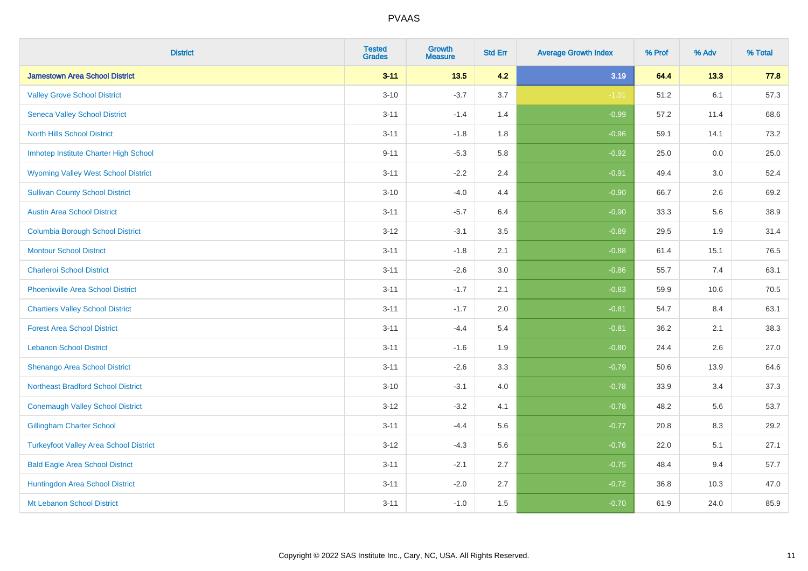| <b>District</b>                               | <b>Tested</b><br><b>Grades</b> | <b>Growth</b><br><b>Measure</b> | <b>Std Err</b> | <b>Average Growth Index</b> | % Prof | % Adv | % Total |
|-----------------------------------------------|--------------------------------|---------------------------------|----------------|-----------------------------|--------|-------|---------|
| <b>Jamestown Area School District</b>         | $3 - 11$                       | $13.5$                          | 4.2            | 3.19                        | 64.4   | 13.3  | 77.8    |
| <b>Valley Grove School District</b>           | $3 - 10$                       | $-3.7$                          | 3.7            | $-1.01$                     | 51.2   | 6.1   | 57.3    |
| <b>Seneca Valley School District</b>          | $3 - 11$                       | $-1.4$                          | 1.4            | $-0.99$                     | 57.2   | 11.4  | 68.6    |
| <b>North Hills School District</b>            | $3 - 11$                       | $-1.8$                          | 1.8            | $-0.96$                     | 59.1   | 14.1  | 73.2    |
| Imhotep Institute Charter High School         | $9 - 11$                       | $-5.3$                          | 5.8            | $-0.92$                     | 25.0   | 0.0   | 25.0    |
| <b>Wyoming Valley West School District</b>    | $3 - 11$                       | $-2.2$                          | 2.4            | $-0.91$                     | 49.4   | 3.0   | 52.4    |
| <b>Sullivan County School District</b>        | $3 - 10$                       | $-4.0$                          | 4.4            | $-0.90$                     | 66.7   | 2.6   | 69.2    |
| <b>Austin Area School District</b>            | $3 - 11$                       | $-5.7$                          | 6.4            | $-0.90$                     | 33.3   | 5.6   | 38.9    |
| <b>Columbia Borough School District</b>       | $3 - 12$                       | $-3.1$                          | 3.5            | $-0.89$                     | 29.5   | 1.9   | 31.4    |
| <b>Montour School District</b>                | $3 - 11$                       | $-1.8$                          | 2.1            | $-0.88$                     | 61.4   | 15.1  | 76.5    |
| <b>Charleroi School District</b>              | $3 - 11$                       | $-2.6$                          | 3.0            | $-0.86$                     | 55.7   | 7.4   | 63.1    |
| <b>Phoenixville Area School District</b>      | $3 - 11$                       | $-1.7$                          | 2.1            | $-0.83$                     | 59.9   | 10.6  | 70.5    |
| <b>Chartiers Valley School District</b>       | $3 - 11$                       | $-1.7$                          | 2.0            | $-0.81$                     | 54.7   | 8.4   | 63.1    |
| <b>Forest Area School District</b>            | $3 - 11$                       | $-4.4$                          | 5.4            | $-0.81$                     | 36.2   | 2.1   | 38.3    |
| <b>Lebanon School District</b>                | $3 - 11$                       | $-1.6$                          | 1.9            | $-0.80$                     | 24.4   | 2.6   | 27.0    |
| Shenango Area School District                 | $3 - 11$                       | $-2.6$                          | 3.3            | $-0.79$                     | 50.6   | 13.9  | 64.6    |
| <b>Northeast Bradford School District</b>     | $3 - 10$                       | $-3.1$                          | 4.0            | $-0.78$                     | 33.9   | 3.4   | 37.3    |
| <b>Conemaugh Valley School District</b>       | $3 - 12$                       | $-3.2$                          | 4.1            | $-0.78$                     | 48.2   | 5.6   | 53.7    |
| <b>Gillingham Charter School</b>              | $3 - 11$                       | $-4.4$                          | 5.6            | $-0.77$                     | 20.8   | 8.3   | 29.2    |
| <b>Turkeyfoot Valley Area School District</b> | $3 - 12$                       | $-4.3$                          | 5.6            | $-0.76$                     | 22.0   | 5.1   | 27.1    |
| <b>Bald Eagle Area School District</b>        | $3 - 11$                       | $-2.1$                          | 2.7            | $-0.75$                     | 48.4   | 9.4   | 57.7    |
| Huntingdon Area School District               | $3 - 11$                       | $-2.0$                          | 2.7            | $-0.72$                     | 36.8   | 10.3  | 47.0    |
| Mt Lebanon School District                    | $3 - 11$                       | $-1.0$                          | 1.5            | $-0.70$                     | 61.9   | 24.0  | 85.9    |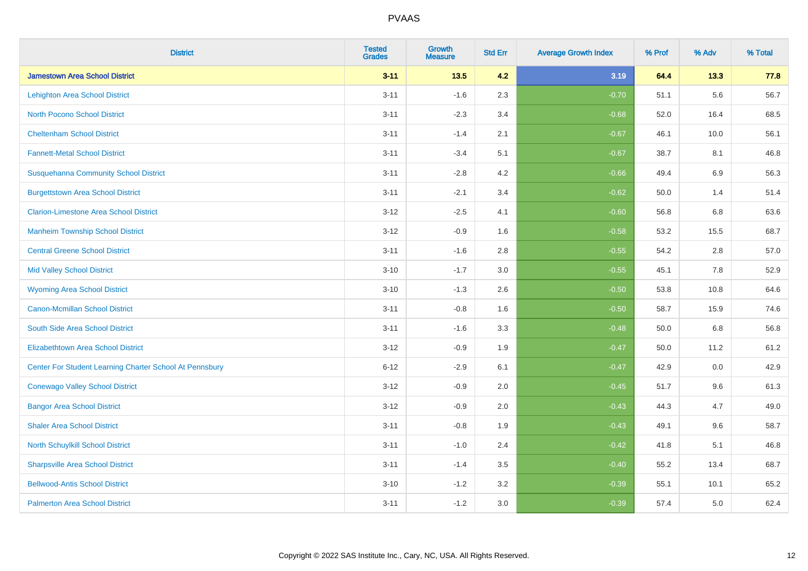| <b>District</b>                                         | <b>Tested</b><br><b>Grades</b> | <b>Growth</b><br><b>Measure</b> | <b>Std Err</b> | <b>Average Growth Index</b> | % Prof | % Adv   | % Total |
|---------------------------------------------------------|--------------------------------|---------------------------------|----------------|-----------------------------|--------|---------|---------|
| <b>Jamestown Area School District</b>                   | $3 - 11$                       | $13.5$                          | 4.2            | 3.19                        | 64.4   | 13.3    | 77.8    |
| <b>Lehighton Area School District</b>                   | $3 - 11$                       | $-1.6$                          | 2.3            | $-0.70$                     | 51.1   | 5.6     | 56.7    |
| <b>North Pocono School District</b>                     | $3 - 11$                       | $-2.3$                          | 3.4            | $-0.68$                     | 52.0   | 16.4    | 68.5    |
| <b>Cheltenham School District</b>                       | $3 - 11$                       | $-1.4$                          | 2.1            | $-0.67$                     | 46.1   | 10.0    | 56.1    |
| <b>Fannett-Metal School District</b>                    | $3 - 11$                       | $-3.4$                          | 5.1            | $-0.67$                     | 38.7   | 8.1     | 46.8    |
| <b>Susquehanna Community School District</b>            | $3 - 11$                       | $-2.8$                          | 4.2            | $-0.66$                     | 49.4   | 6.9     | 56.3    |
| <b>Burgettstown Area School District</b>                | $3 - 11$                       | $-2.1$                          | 3.4            | $-0.62$                     | 50.0   | 1.4     | 51.4    |
| <b>Clarion-Limestone Area School District</b>           | $3 - 12$                       | $-2.5$                          | 4.1            | $-0.60$                     | 56.8   | 6.8     | 63.6    |
| <b>Manheim Township School District</b>                 | $3 - 12$                       | $-0.9$                          | 1.6            | $-0.58$                     | 53.2   | 15.5    | 68.7    |
| <b>Central Greene School District</b>                   | $3 - 11$                       | $-1.6$                          | 2.8            | $-0.55$                     | 54.2   | $2.8\,$ | 57.0    |
| <b>Mid Valley School District</b>                       | $3 - 10$                       | $-1.7$                          | 3.0            | $-0.55$                     | 45.1   | 7.8     | 52.9    |
| <b>Wyoming Area School District</b>                     | $3 - 10$                       | $-1.3$                          | 2.6            | $-0.50$                     | 53.8   | 10.8    | 64.6    |
| <b>Canon-Mcmillan School District</b>                   | $3 - 11$                       | $-0.8$                          | 1.6            | $-0.50$                     | 58.7   | 15.9    | 74.6    |
| South Side Area School District                         | $3 - 11$                       | $-1.6$                          | 3.3            | $-0.48$                     | 50.0   | 6.8     | 56.8    |
| <b>Elizabethtown Area School District</b>               | $3 - 12$                       | $-0.9$                          | 1.9            | $-0.47$                     | 50.0   | 11.2    | 61.2    |
| Center For Student Learning Charter School At Pennsbury | $6 - 12$                       | $-2.9$                          | 6.1            | $-0.47$                     | 42.9   | 0.0     | 42.9    |
| <b>Conewago Valley School District</b>                  | $3 - 12$                       | $-0.9$                          | 2.0            | $-0.45$                     | 51.7   | 9.6     | 61.3    |
| <b>Bangor Area School District</b>                      | $3 - 12$                       | $-0.9$                          | 2.0            | $-0.43$                     | 44.3   | 4.7     | 49.0    |
| <b>Shaler Area School District</b>                      | $3 - 11$                       | $-0.8$                          | 1.9            | $-0.43$                     | 49.1   | 9.6     | 58.7    |
| North Schuylkill School District                        | $3 - 11$                       | $-1.0$                          | 2.4            | $-0.42$                     | 41.8   | 5.1     | 46.8    |
| <b>Sharpsville Area School District</b>                 | $3 - 11$                       | $-1.4$                          | 3.5            | $-0.40$                     | 55.2   | 13.4    | 68.7    |
| <b>Bellwood-Antis School District</b>                   | $3 - 10$                       | $-1.2$                          | 3.2            | $-0.39$                     | 55.1   | 10.1    | 65.2    |
| <b>Palmerton Area School District</b>                   | $3 - 11$                       | $-1.2$                          | 3.0            | $-0.39$                     | 57.4   | 5.0     | 62.4    |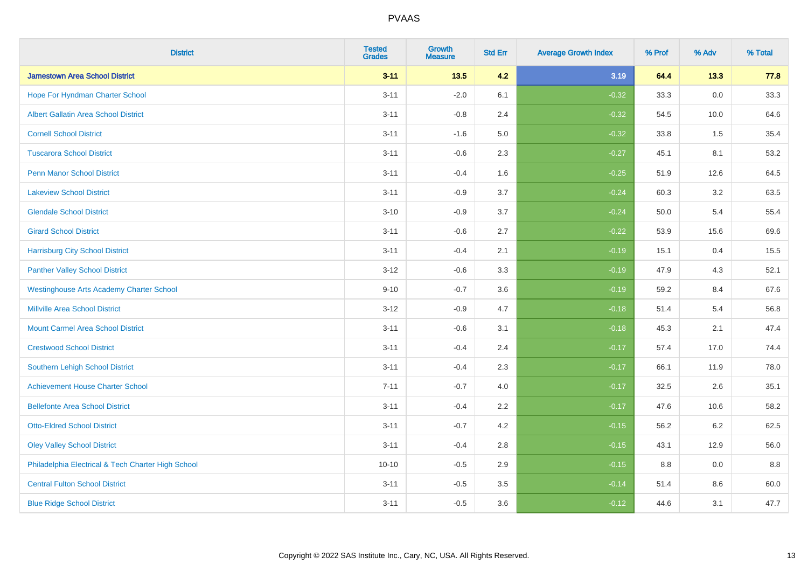| <b>District</b>                                    | <b>Tested</b><br><b>Grades</b> | <b>Growth</b><br><b>Measure</b> | <b>Std Err</b> | <b>Average Growth Index</b> | % Prof | % Adv   | % Total |
|----------------------------------------------------|--------------------------------|---------------------------------|----------------|-----------------------------|--------|---------|---------|
| <b>Jamestown Area School District</b>              | $3 - 11$                       | $13.5$                          | 4.2            | 3.19                        | 64.4   | 13.3    | 77.8    |
| Hope For Hyndman Charter School                    | $3 - 11$                       | $-2.0$                          | 6.1            | $-0.32$                     | 33.3   | 0.0     | 33.3    |
| <b>Albert Gallatin Area School District</b>        | $3 - 11$                       | $-0.8$                          | 2.4            | $-0.32$                     | 54.5   | 10.0    | 64.6    |
| <b>Cornell School District</b>                     | $3 - 11$                       | $-1.6$                          | 5.0            | $-0.32$                     | 33.8   | 1.5     | 35.4    |
| <b>Tuscarora School District</b>                   | $3 - 11$                       | $-0.6$                          | 2.3            | $-0.27$                     | 45.1   | 8.1     | 53.2    |
| <b>Penn Manor School District</b>                  | $3 - 11$                       | $-0.4$                          | 1.6            | $-0.25$                     | 51.9   | 12.6    | 64.5    |
| <b>Lakeview School District</b>                    | $3 - 11$                       | $-0.9$                          | 3.7            | $-0.24$                     | 60.3   | 3.2     | 63.5    |
| <b>Glendale School District</b>                    | $3 - 10$                       | $-0.9$                          | 3.7            | $-0.24$                     | 50.0   | 5.4     | 55.4    |
| <b>Girard School District</b>                      | $3 - 11$                       | $-0.6$                          | 2.7            | $-0.22$                     | 53.9   | 15.6    | 69.6    |
| <b>Harrisburg City School District</b>             | $3 - 11$                       | $-0.4$                          | 2.1            | $-0.19$                     | 15.1   | 0.4     | 15.5    |
| <b>Panther Valley School District</b>              | $3 - 12$                       | $-0.6$                          | 3.3            | $-0.19$                     | 47.9   | 4.3     | 52.1    |
| <b>Westinghouse Arts Academy Charter School</b>    | $9 - 10$                       | $-0.7$                          | 3.6            | $-0.19$                     | 59.2   | 8.4     | 67.6    |
| <b>Millville Area School District</b>              | $3 - 12$                       | $-0.9$                          | 4.7            | $-0.18$                     | 51.4   | 5.4     | 56.8    |
| <b>Mount Carmel Area School District</b>           | $3 - 11$                       | $-0.6$                          | 3.1            | $-0.18$                     | 45.3   | 2.1     | 47.4    |
| <b>Crestwood School District</b>                   | $3 - 11$                       | $-0.4$                          | 2.4            | $-0.17$                     | 57.4   | 17.0    | 74.4    |
| <b>Southern Lehigh School District</b>             | $3 - 11$                       | $-0.4$                          | 2.3            | $-0.17$                     | 66.1   | 11.9    | 78.0    |
| <b>Achievement House Charter School</b>            | $7 - 11$                       | $-0.7$                          | 4.0            | $-0.17$                     | 32.5   | $2.6\,$ | 35.1    |
| <b>Bellefonte Area School District</b>             | $3 - 11$                       | $-0.4$                          | 2.2            | $-0.17$                     | 47.6   | 10.6    | 58.2    |
| <b>Otto-Eldred School District</b>                 | $3 - 11$                       | $-0.7$                          | 4.2            | $-0.15$                     | 56.2   | $6.2\,$ | 62.5    |
| <b>Oley Valley School District</b>                 | $3 - 11$                       | $-0.4$                          | 2.8            | $-0.15$                     | 43.1   | 12.9    | 56.0    |
| Philadelphia Electrical & Tech Charter High School | $10 - 10$                      | $-0.5$                          | 2.9            | $-0.15$                     | 8.8    | 0.0     | 8.8     |
| <b>Central Fulton School District</b>              | $3 - 11$                       | $-0.5$                          | 3.5            | $-0.14$                     | 51.4   | 8.6     | 60.0    |
| <b>Blue Ridge School District</b>                  | $3 - 11$                       | $-0.5$                          | 3.6            | $-0.12$                     | 44.6   | 3.1     | 47.7    |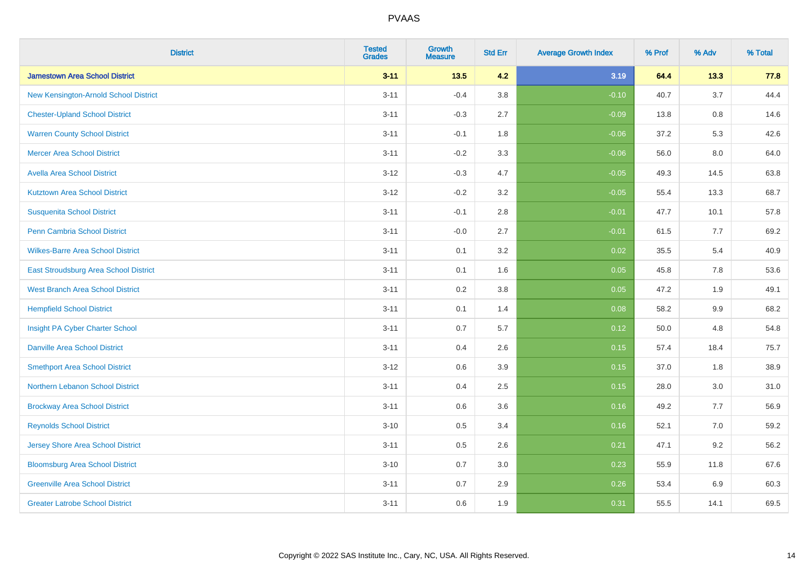| <b>District</b>                          | <b>Tested</b><br><b>Grades</b> | Growth<br><b>Measure</b> | <b>Std Err</b> | <b>Average Growth Index</b> | % Prof | % Adv   | % Total |
|------------------------------------------|--------------------------------|--------------------------|----------------|-----------------------------|--------|---------|---------|
| <b>Jamestown Area School District</b>    | $3 - 11$                       | 13.5                     | 4.2            | 3.19                        | 64.4   | 13.3    | 77.8    |
| New Kensington-Arnold School District    | $3 - 11$                       | $-0.4$                   | 3.8            | $-0.10$                     | 40.7   | 3.7     | 44.4    |
| <b>Chester-Upland School District</b>    | $3 - 11$                       | $-0.3$                   | 2.7            | $-0.09$                     | 13.8   | $0.8\,$ | 14.6    |
| <b>Warren County School District</b>     | $3 - 11$                       | $-0.1$                   | 1.8            | $-0.06$                     | 37.2   | 5.3     | 42.6    |
| <b>Mercer Area School District</b>       | $3 - 11$                       | $-0.2$                   | 3.3            | $-0.06$                     | 56.0   | 8.0     | 64.0    |
| <b>Avella Area School District</b>       | $3 - 12$                       | $-0.3$                   | 4.7            | $-0.05$                     | 49.3   | 14.5    | 63.8    |
| <b>Kutztown Area School District</b>     | $3 - 12$                       | $-0.2$                   | 3.2            | $-0.05$                     | 55.4   | 13.3    | 68.7    |
| <b>Susquenita School District</b>        | $3 - 11$                       | $-0.1$                   | 2.8            | $-0.01$                     | 47.7   | 10.1    | 57.8    |
| <b>Penn Cambria School District</b>      | $3 - 11$                       | $-0.0$                   | 2.7            | $-0.01$                     | 61.5   | 7.7     | 69.2    |
| <b>Wilkes-Barre Area School District</b> | $3 - 11$                       | 0.1                      | 3.2            | 0.02                        | 35.5   | 5.4     | 40.9    |
| East Stroudsburg Area School District    | $3 - 11$                       | 0.1                      | 1.6            | 0.05                        | 45.8   | 7.8     | 53.6    |
| <b>West Branch Area School District</b>  | $3 - 11$                       | 0.2                      | 3.8            | 0.05                        | 47.2   | 1.9     | 49.1    |
| <b>Hempfield School District</b>         | $3 - 11$                       | 0.1                      | 1.4            | 0.08                        | 58.2   | 9.9     | 68.2    |
| Insight PA Cyber Charter School          | $3 - 11$                       | 0.7                      | 5.7            | 0.12                        | 50.0   | 4.8     | 54.8    |
| <b>Danville Area School District</b>     | $3 - 11$                       | 0.4                      | 2.6            | 0.15                        | 57.4   | 18.4    | 75.7    |
| <b>Smethport Area School District</b>    | $3 - 12$                       | 0.6                      | 3.9            | 0.15                        | 37.0   | 1.8     | 38.9    |
| Northern Lebanon School District         | $3 - 11$                       | 0.4                      | 2.5            | 0.15                        | 28.0   | 3.0     | 31.0    |
| <b>Brockway Area School District</b>     | $3 - 11$                       | 0.6                      | 3.6            | 0.16                        | 49.2   | 7.7     | 56.9    |
| <b>Reynolds School District</b>          | $3 - 10$                       | 0.5                      | 3.4            | 0.16                        | 52.1   | 7.0     | 59.2    |
| <b>Jersey Shore Area School District</b> | $3 - 11$                       | 0.5                      | 2.6            | 0.21                        | 47.1   | 9.2     | 56.2    |
| <b>Bloomsburg Area School District</b>   | $3 - 10$                       | 0.7                      | 3.0            | 0.23                        | 55.9   | 11.8    | 67.6    |
| <b>Greenville Area School District</b>   | $3 - 11$                       | 0.7                      | 2.9            | 0.26                        | 53.4   | 6.9     | 60.3    |
| <b>Greater Latrobe School District</b>   | $3 - 11$                       | 0.6                      | 1.9            | 0.31                        | 55.5   | 14.1    | 69.5    |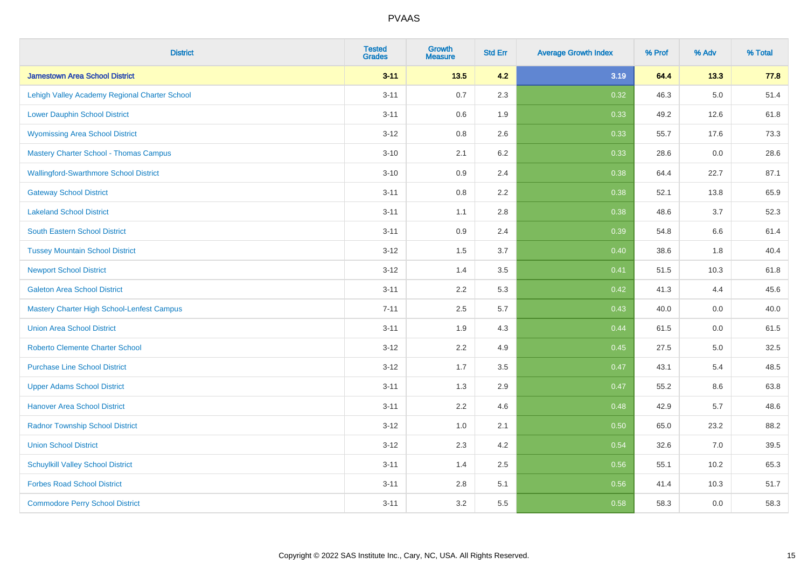| <b>District</b>                                   | <b>Tested</b><br><b>Grades</b> | Growth<br><b>Measure</b> | <b>Std Err</b> | <b>Average Growth Index</b> | % Prof | % Adv   | % Total |
|---------------------------------------------------|--------------------------------|--------------------------|----------------|-----------------------------|--------|---------|---------|
| <b>Jamestown Area School District</b>             | $3 - 11$                       | $13.5$                   | 4.2            | 3.19                        | 64.4   | 13.3    | 77.8    |
| Lehigh Valley Academy Regional Charter School     | $3 - 11$                       | 0.7                      | 2.3            | 0.32                        | 46.3   | $5.0\,$ | 51.4    |
| <b>Lower Dauphin School District</b>              | $3 - 11$                       | 0.6                      | 1.9            | 0.33                        | 49.2   | 12.6    | 61.8    |
| <b>Wyomissing Area School District</b>            | $3 - 12$                       | 0.8                      | 2.6            | 0.33                        | 55.7   | 17.6    | 73.3    |
| <b>Mastery Charter School - Thomas Campus</b>     | $3 - 10$                       | 2.1                      | 6.2            | 0.33                        | 28.6   | 0.0     | 28.6    |
| <b>Wallingford-Swarthmore School District</b>     | $3 - 10$                       | 0.9                      | 2.4            | 0.38                        | 64.4   | 22.7    | 87.1    |
| <b>Gateway School District</b>                    | $3 - 11$                       | $0.8\,$                  | 2.2            | 0.38                        | 52.1   | 13.8    | 65.9    |
| <b>Lakeland School District</b>                   | $3 - 11$                       | 1.1                      | 2.8            | 0.38                        | 48.6   | 3.7     | 52.3    |
| <b>South Eastern School District</b>              | $3 - 11$                       | 0.9                      | 2.4            | 0.39                        | 54.8   | $6.6\,$ | 61.4    |
| <b>Tussey Mountain School District</b>            | $3 - 12$                       | 1.5                      | 3.7            | 0.40                        | 38.6   | 1.8     | 40.4    |
| <b>Newport School District</b>                    | $3 - 12$                       | 1.4                      | 3.5            | 0.41                        | 51.5   | 10.3    | 61.8    |
| <b>Galeton Area School District</b>               | $3 - 11$                       | 2.2                      | 5.3            | 0.42                        | 41.3   | 4.4     | 45.6    |
| <b>Mastery Charter High School-Lenfest Campus</b> | $7 - 11$                       | 2.5                      | 5.7            | 0.43                        | 40.0   | 0.0     | 40.0    |
| <b>Union Area School District</b>                 | $3 - 11$                       | 1.9                      | 4.3            | 0.44                        | 61.5   | 0.0     | 61.5    |
| <b>Roberto Clemente Charter School</b>            | $3 - 12$                       | 2.2                      | 4.9            | 0.45                        | 27.5   | 5.0     | 32.5    |
| <b>Purchase Line School District</b>              | $3 - 12$                       | 1.7                      | 3.5            | 0.47                        | 43.1   | 5.4     | 48.5    |
| <b>Upper Adams School District</b>                | $3 - 11$                       | 1.3                      | 2.9            | 0.47                        | 55.2   | 8.6     | 63.8    |
| <b>Hanover Area School District</b>               | $3 - 11$                       | 2.2                      | 4.6            | 0.48                        | 42.9   | 5.7     | 48.6    |
| <b>Radnor Township School District</b>            | $3 - 12$                       | 1.0                      | 2.1            | 0.50                        | 65.0   | 23.2    | 88.2    |
| <b>Union School District</b>                      | $3 - 12$                       | 2.3                      | 4.2            | 0.54                        | 32.6   | 7.0     | 39.5    |
| <b>Schuylkill Valley School District</b>          | $3 - 11$                       | 1.4                      | 2.5            | 0.56                        | 55.1   | 10.2    | 65.3    |
| <b>Forbes Road School District</b>                | $3 - 11$                       | 2.8                      | 5.1            | 0.56                        | 41.4   | 10.3    | 51.7    |
| <b>Commodore Perry School District</b>            | $3 - 11$                       | 3.2                      | 5.5            | 0.58                        | 58.3   | 0.0     | 58.3    |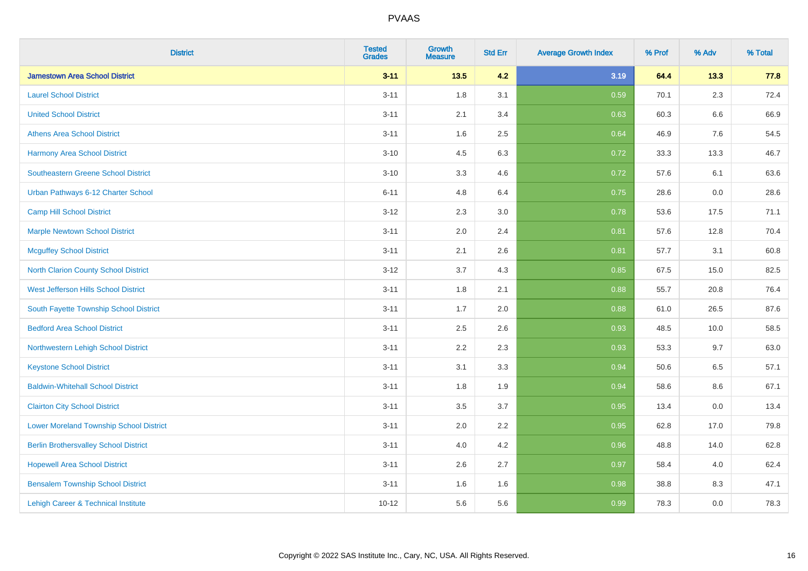| <b>District</b>                                | <b>Tested</b><br><b>Grades</b> | <b>Growth</b><br><b>Measure</b> | <b>Std Err</b> | <b>Average Growth Index</b> | % Prof | % Adv   | % Total |
|------------------------------------------------|--------------------------------|---------------------------------|----------------|-----------------------------|--------|---------|---------|
| <b>Jamestown Area School District</b>          | $3 - 11$                       | $13.5$                          | 4.2            | 3.19                        | 64.4   | 13.3    | 77.8    |
| <b>Laurel School District</b>                  | $3 - 11$                       | 1.8                             | 3.1            | 0.59                        | 70.1   | $2.3\,$ | 72.4    |
| <b>United School District</b>                  | $3 - 11$                       | 2.1                             | 3.4            | 0.63                        | 60.3   | 6.6     | 66.9    |
| <b>Athens Area School District</b>             | $3 - 11$                       | 1.6                             | 2.5            | 0.64                        | 46.9   | 7.6     | 54.5    |
| <b>Harmony Area School District</b>            | $3 - 10$                       | 4.5                             | 6.3            | 0.72                        | 33.3   | 13.3    | 46.7    |
| <b>Southeastern Greene School District</b>     | $3 - 10$                       | 3.3                             | 4.6            | 0.72                        | 57.6   | 6.1     | 63.6    |
| Urban Pathways 6-12 Charter School             | $6 - 11$                       | 4.8                             | 6.4            | 0.75                        | 28.6   | 0.0     | 28.6    |
| <b>Camp Hill School District</b>               | $3 - 12$                       | 2.3                             | 3.0            | 0.78                        | 53.6   | 17.5    | 71.1    |
| <b>Marple Newtown School District</b>          | $3 - 11$                       | 2.0                             | 2.4            | 0.81                        | 57.6   | 12.8    | 70.4    |
| <b>Mcguffey School District</b>                | $3 - 11$                       | 2.1                             | 2.6            | 0.81                        | 57.7   | 3.1     | 60.8    |
| North Clarion County School District           | $3 - 12$                       | 3.7                             | 4.3            | 0.85                        | 67.5   | 15.0    | 82.5    |
| <b>West Jefferson Hills School District</b>    | $3 - 11$                       | 1.8                             | 2.1            | 0.88                        | 55.7   | 20.8    | 76.4    |
| South Fayette Township School District         | $3 - 11$                       | 1.7                             | 2.0            | 0.88                        | 61.0   | 26.5    | 87.6    |
| <b>Bedford Area School District</b>            | $3 - 11$                       | 2.5                             | 2.6            | 0.93                        | 48.5   | 10.0    | 58.5    |
| Northwestern Lehigh School District            | $3 - 11$                       | 2.2                             | 2.3            | 0.93                        | 53.3   | 9.7     | 63.0    |
| <b>Keystone School District</b>                | $3 - 11$                       | 3.1                             | 3.3            | 0.94                        | 50.6   | 6.5     | 57.1    |
| <b>Baldwin-Whitehall School District</b>       | $3 - 11$                       | 1.8                             | 1.9            | 0.94                        | 58.6   | 8.6     | 67.1    |
| <b>Clairton City School District</b>           | $3 - 11$                       | 3.5                             | 3.7            | 0.95                        | 13.4   | 0.0     | 13.4    |
| <b>Lower Moreland Township School District</b> | $3 - 11$                       | 2.0                             | 2.2            | 0.95                        | 62.8   | 17.0    | 79.8    |
| <b>Berlin Brothersvalley School District</b>   | $3 - 11$                       | 4.0                             | 4.2            | 0.96                        | 48.8   | 14.0    | 62.8    |
| <b>Hopewell Area School District</b>           | $3 - 11$                       | 2.6                             | 2.7            | 0.97                        | 58.4   | 4.0     | 62.4    |
| <b>Bensalem Township School District</b>       | $3 - 11$                       | 1.6                             | 1.6            | 0.98                        | 38.8   | 8.3     | 47.1    |
| Lehigh Career & Technical Institute            | $10 - 12$                      | 5.6                             | 5.6            | 0.99                        | 78.3   | 0.0     | 78.3    |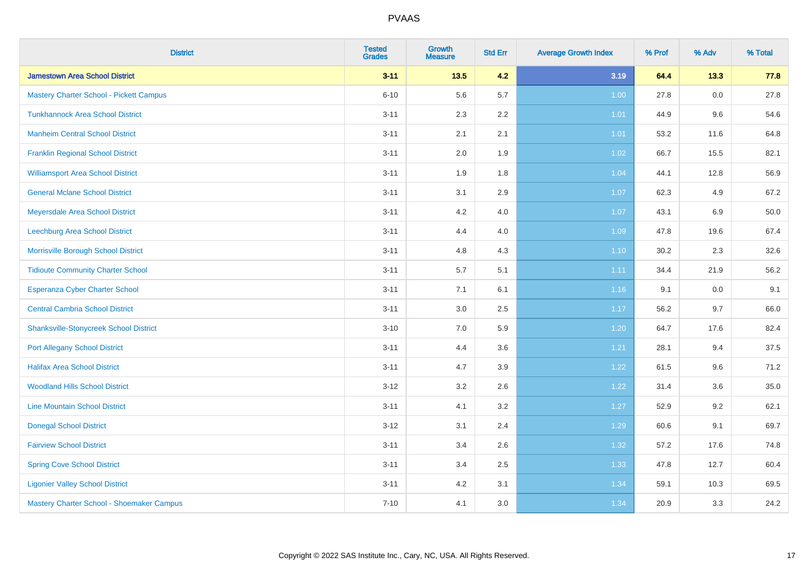| <b>District</b>                                | <b>Tested</b><br><b>Grades</b> | <b>Growth</b><br><b>Measure</b> | <b>Std Err</b> | <b>Average Growth Index</b> | % Prof | % Adv | % Total |
|------------------------------------------------|--------------------------------|---------------------------------|----------------|-----------------------------|--------|-------|---------|
| <b>Jamestown Area School District</b>          | $3 - 11$                       | $13.5$                          | 4.2            | 3.19                        | 64.4   | 13.3  | 77.8    |
| <b>Mastery Charter School - Pickett Campus</b> | $6 - 10$                       | 5.6                             | 5.7            | 1.00                        | 27.8   | 0.0   | 27.8    |
| <b>Tunkhannock Area School District</b>        | $3 - 11$                       | 2.3                             | 2.2            | 1.01                        | 44.9   | 9.6   | 54.6    |
| <b>Manheim Central School District</b>         | $3 - 11$                       | 2.1                             | 2.1            | 1.01                        | 53.2   | 11.6  | 64.8    |
| <b>Franklin Regional School District</b>       | $3 - 11$                       | 2.0                             | 1.9            | $1.02$                      | 66.7   | 15.5  | 82.1    |
| <b>Williamsport Area School District</b>       | $3 - 11$                       | 1.9                             | 1.8            | 1.04                        | 44.1   | 12.8  | 56.9    |
| <b>General Mclane School District</b>          | $3 - 11$                       | 3.1                             | 2.9            | 1.07                        | 62.3   | 4.9   | 67.2    |
| Meyersdale Area School District                | $3 - 11$                       | 4.2                             | 4.0            | 1.07                        | 43.1   | 6.9   | 50.0    |
| Leechburg Area School District                 | $3 - 11$                       | 4.4                             | 4.0            | 1.09                        | 47.8   | 19.6  | 67.4    |
| Morrisville Borough School District            | $3 - 11$                       | 4.8                             | 4.3            | $1.10$                      | 30.2   | 2.3   | 32.6    |
| <b>Tidioute Community Charter School</b>       | $3 - 11$                       | 5.7                             | 5.1            | 1.11                        | 34.4   | 21.9  | 56.2    |
| <b>Esperanza Cyber Charter School</b>          | $3 - 11$                       | 7.1                             | 6.1            | 1.16                        | 9.1    | 0.0   | 9.1     |
| <b>Central Cambria School District</b>         | $3 - 11$                       | 3.0                             | 2.5            | 1.17                        | 56.2   | 9.7   | 66.0    |
| <b>Shanksville-Stonycreek School District</b>  | $3 - 10$                       | 7.0                             | 5.9            | 1.20                        | 64.7   | 17.6  | 82.4    |
| <b>Port Allegany School District</b>           | $3 - 11$                       | 4.4                             | 3.6            | 1.21                        | 28.1   | 9.4   | 37.5    |
| <b>Halifax Area School District</b>            | $3 - 11$                       | 4.7                             | 3.9            | 1.22                        | 61.5   | 9.6   | 71.2    |
| <b>Woodland Hills School District</b>          | $3-12$                         | 3.2                             | 2.6            | 1.22                        | 31.4   | 3.6   | 35.0    |
| <b>Line Mountain School District</b>           | $3 - 11$                       | 4.1                             | 3.2            | 1.27                        | 52.9   | 9.2   | 62.1    |
| <b>Donegal School District</b>                 | $3 - 12$                       | 3.1                             | 2.4            | 1.29                        | 60.6   | 9.1   | 69.7    |
| <b>Fairview School District</b>                | $3 - 11$                       | 3.4                             | 2.6            | 1.32                        | 57.2   | 17.6  | 74.8    |
| <b>Spring Cove School District</b>             | $3 - 11$                       | 3.4                             | 2.5            | 1.33                        | 47.8   | 12.7  | 60.4    |
| <b>Ligonier Valley School District</b>         | $3 - 11$                       | 4.2                             | 3.1            | 1.34                        | 59.1   | 10.3  | 69.5    |
| Mastery Charter School - Shoemaker Campus      | $7 - 10$                       | 4.1                             | 3.0            | 1.34                        | 20.9   | 3.3   | 24.2    |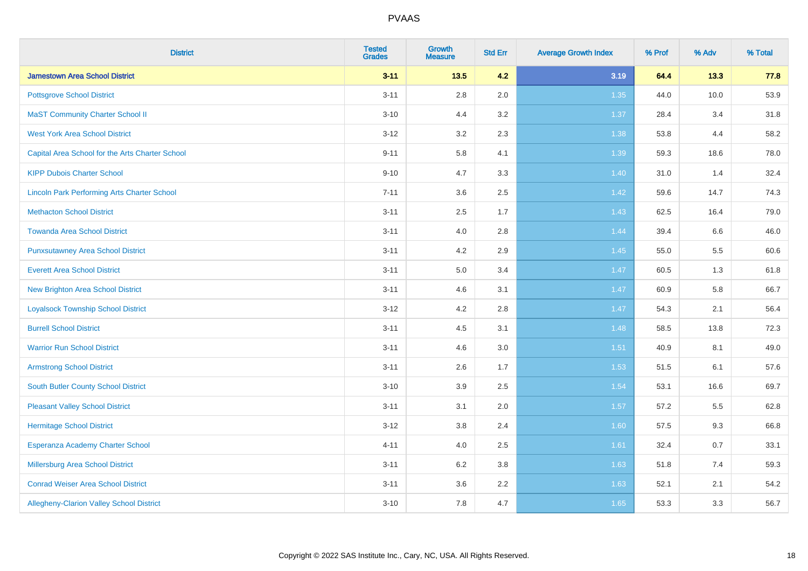| <b>District</b>                                    | <b>Tested</b><br><b>Grades</b> | <b>Growth</b><br><b>Measure</b> | <b>Std Err</b> | <b>Average Growth Index</b> | % Prof | % Adv | % Total |
|----------------------------------------------------|--------------------------------|---------------------------------|----------------|-----------------------------|--------|-------|---------|
| <b>Jamestown Area School District</b>              | $3 - 11$                       | $13.5$                          | 4.2            | 3.19                        | 64.4   | 13.3  | 77.8    |
| <b>Pottsgrove School District</b>                  | $3 - 11$                       | $2.8\,$                         | 2.0            | 1.35                        | 44.0   | 10.0  | 53.9    |
| <b>MaST Community Charter School II</b>            | $3 - 10$                       | 4.4                             | 3.2            | 1.37                        | 28.4   | 3.4   | 31.8    |
| <b>West York Area School District</b>              | $3 - 12$                       | 3.2                             | 2.3            | 1.38                        | 53.8   | 4.4   | 58.2    |
| Capital Area School for the Arts Charter School    | $9 - 11$                       | 5.8                             | 4.1            | 1.39                        | 59.3   | 18.6  | 78.0    |
| <b>KIPP Dubois Charter School</b>                  | $9 - 10$                       | 4.7                             | 3.3            | 1.40                        | 31.0   | 1.4   | 32.4    |
| <b>Lincoln Park Performing Arts Charter School</b> | $7 - 11$                       | 3.6                             | 2.5            | 1.42                        | 59.6   | 14.7  | 74.3    |
| <b>Methacton School District</b>                   | $3 - 11$                       | 2.5                             | 1.7            | 1.43                        | 62.5   | 16.4  | 79.0    |
| <b>Towanda Area School District</b>                | $3 - 11$                       | 4.0                             | 2.8            | 1.44                        | 39.4   | 6.6   | 46.0    |
| <b>Punxsutawney Area School District</b>           | $3 - 11$                       | 4.2                             | 2.9            | $1.45$                      | 55.0   | 5.5   | 60.6    |
| <b>Everett Area School District</b>                | $3 - 11$                       | 5.0                             | 3.4            | 1.47                        | 60.5   | 1.3   | 61.8    |
| <b>New Brighton Area School District</b>           | $3 - 11$                       | 4.6                             | 3.1            | $1.47$                      | 60.9   | 5.8   | 66.7    |
| <b>Loyalsock Township School District</b>          | $3 - 12$                       | 4.2                             | 2.8            | 1.47                        | 54.3   | 2.1   | 56.4    |
| <b>Burrell School District</b>                     | $3 - 11$                       | 4.5                             | 3.1            | 1.48                        | 58.5   | 13.8  | 72.3    |
| <b>Warrior Run School District</b>                 | $3 - 11$                       | 4.6                             | 3.0            | 1.51                        | 40.9   | 8.1   | 49.0    |
| <b>Armstrong School District</b>                   | $3 - 11$                       | 2.6                             | 1.7            | 1.53                        | 51.5   | 6.1   | 57.6    |
| <b>South Butler County School District</b>         | $3 - 10$                       | 3.9                             | 2.5            | 1.54                        | 53.1   | 16.6  | 69.7    |
| <b>Pleasant Valley School District</b>             | $3 - 11$                       | 3.1                             | 2.0            | 1.57                        | 57.2   | 5.5   | 62.8    |
| <b>Hermitage School District</b>                   | $3 - 12$                       | $3.8\,$                         | 2.4            | 1.60                        | 57.5   | 9.3   | 66.8    |
| Esperanza Academy Charter School                   | $4 - 11$                       | 4.0                             | 2.5            | 1.61                        | 32.4   | 0.7   | 33.1    |
| Millersburg Area School District                   | $3 - 11$                       | 6.2                             | 3.8            | 1.63                        | 51.8   | 7.4   | 59.3    |
| <b>Conrad Weiser Area School District</b>          | $3 - 11$                       | 3.6                             | 2.2            | 1.63                        | 52.1   | 2.1   | 54.2    |
| Allegheny-Clarion Valley School District           | $3 - 10$                       | 7.8                             | 4.7            | 1.65                        | 53.3   | 3.3   | 56.7    |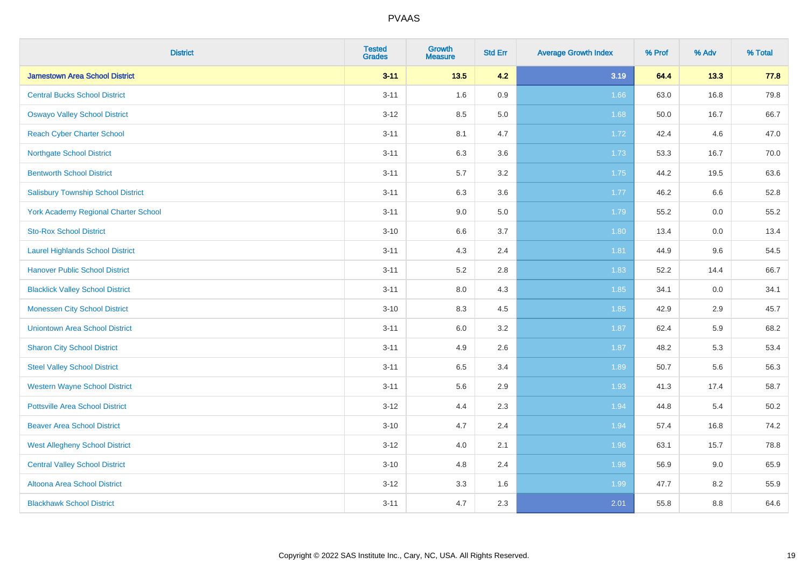| <b>District</b>                           | <b>Tested</b><br><b>Grades</b> | <b>Growth</b><br><b>Measure</b> | <b>Std Err</b> | <b>Average Growth Index</b> | % Prof | % Adv | % Total |
|-------------------------------------------|--------------------------------|---------------------------------|----------------|-----------------------------|--------|-------|---------|
| <b>Jamestown Area School District</b>     | $3 - 11$                       | $13.5$                          | 4.2            | 3.19                        | 64.4   | 13.3  | 77.8    |
| <b>Central Bucks School District</b>      | $3 - 11$                       | 1.6                             | 0.9            | 1.66                        | 63.0   | 16.8  | 79.8    |
| <b>Oswayo Valley School District</b>      | $3 - 12$                       | 8.5                             | 5.0            | 1.68                        | 50.0   | 16.7  | 66.7    |
| <b>Reach Cyber Charter School</b>         | $3 - 11$                       | 8.1                             | 4.7            | 1.72                        | 42.4   | 4.6   | 47.0    |
| <b>Northgate School District</b>          | $3 - 11$                       | 6.3                             | 3.6            | 1.73                        | 53.3   | 16.7  | 70.0    |
| <b>Bentworth School District</b>          | $3 - 11$                       | 5.7                             | 3.2            | 1.75                        | 44.2   | 19.5  | 63.6    |
| <b>Salisbury Township School District</b> | $3 - 11$                       | 6.3                             | 3.6            | 1.77                        | 46.2   | 6.6   | 52.8    |
| York Academy Regional Charter School      | $3 - 11$                       | 9.0                             | 5.0            | 1.79                        | 55.2   | 0.0   | 55.2    |
| <b>Sto-Rox School District</b>            | $3 - 10$                       | $6.6\,$                         | 3.7            | 1.80                        | 13.4   | 0.0   | 13.4    |
| <b>Laurel Highlands School District</b>   | $3 - 11$                       | 4.3                             | 2.4            | 1.81                        | 44.9   | 9.6   | 54.5    |
| <b>Hanover Public School District</b>     | $3 - 11$                       | 5.2                             | 2.8            | 1.83                        | 52.2   | 14.4  | 66.7    |
| <b>Blacklick Valley School District</b>   | $3 - 11$                       | 8.0                             | 4.3            | 1.85                        | 34.1   | 0.0   | 34.1    |
| <b>Monessen City School District</b>      | $3 - 10$                       | 8.3                             | 4.5            | 1.85                        | 42.9   | 2.9   | 45.7    |
| <b>Uniontown Area School District</b>     | $3 - 11$                       | 6.0                             | 3.2            | 1.87                        | 62.4   | 5.9   | 68.2    |
| <b>Sharon City School District</b>        | $3 - 11$                       | 4.9                             | 2.6            | 1.87                        | 48.2   | 5.3   | 53.4    |
| <b>Steel Valley School District</b>       | $3 - 11$                       | 6.5                             | 3.4            | 1.89                        | 50.7   | 5.6   | 56.3    |
| <b>Western Wayne School District</b>      | $3 - 11$                       | 5.6                             | 2.9            | 1.93                        | 41.3   | 17.4  | 58.7    |
| <b>Pottsville Area School District</b>    | $3 - 12$                       | 4.4                             | 2.3            | 1.94                        | 44.8   | 5.4   | 50.2    |
| <b>Beaver Area School District</b>        | $3 - 10$                       | 4.7                             | 2.4            | 1.94                        | 57.4   | 16.8  | 74.2    |
| <b>West Allegheny School District</b>     | $3 - 12$                       | 4.0                             | 2.1            | 1.96                        | 63.1   | 15.7  | 78.8    |
| <b>Central Valley School District</b>     | $3 - 10$                       | 4.8                             | 2.4            | 1.98                        | 56.9   | 9.0   | 65.9    |
| Altoona Area School District              | $3-12$                         | 3.3                             | 1.6            | 1.99                        | 47.7   | 8.2   | 55.9    |
| <b>Blackhawk School District</b>          | $3 - 11$                       | 4.7                             | 2.3            | 2.01                        | 55.8   | 8.8   | 64.6    |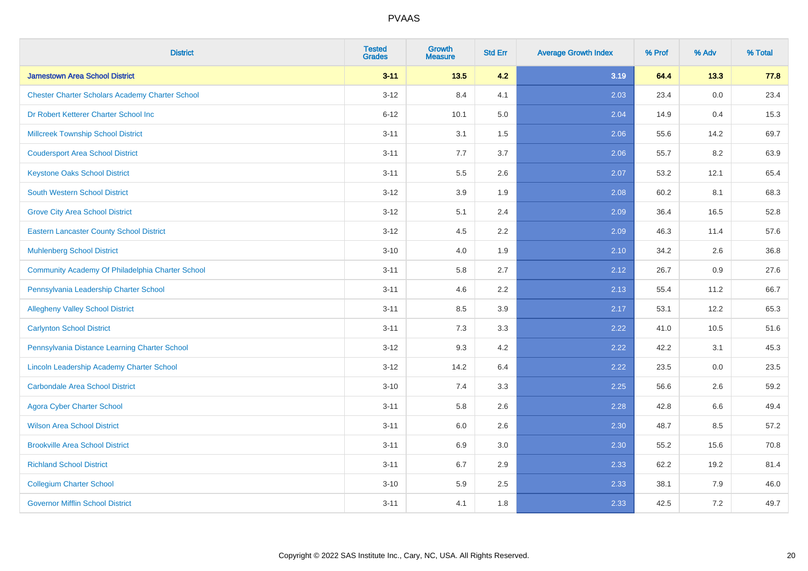| <b>District</b>                                        | <b>Tested</b><br><b>Grades</b> | <b>Growth</b><br><b>Measure</b> | <b>Std Err</b> | <b>Average Growth Index</b> | % Prof | % Adv   | % Total |
|--------------------------------------------------------|--------------------------------|---------------------------------|----------------|-----------------------------|--------|---------|---------|
| <b>Jamestown Area School District</b>                  | $3 - 11$                       | $13.5$                          | 4.2            | 3.19                        | 64.4   | 13.3    | 77.8    |
| <b>Chester Charter Scholars Academy Charter School</b> | $3 - 12$                       | 8.4                             | 4.1            | 2.03                        | 23.4   | 0.0     | 23.4    |
| Dr Robert Ketterer Charter School Inc                  | $6 - 12$                       | 10.1                            | 5.0            | 2.04                        | 14.9   | 0.4     | 15.3    |
| <b>Millcreek Township School District</b>              | $3 - 11$                       | 3.1                             | $1.5\,$        | 2.06                        | 55.6   | 14.2    | 69.7    |
| <b>Coudersport Area School District</b>                | $3 - 11$                       | 7.7                             | 3.7            | 2.06                        | 55.7   | 8.2     | 63.9    |
| <b>Keystone Oaks School District</b>                   | $3 - 11$                       | $5.5\,$                         | 2.6            | 2.07                        | 53.2   | 12.1    | 65.4    |
| South Western School District                          | $3 - 12$                       | 3.9                             | 1.9            | 2.08                        | 60.2   | 8.1     | 68.3    |
| <b>Grove City Area School District</b>                 | $3 - 12$                       | 5.1                             | 2.4            | 2.09                        | 36.4   | 16.5    | 52.8    |
| <b>Eastern Lancaster County School District</b>        | $3 - 12$                       | 4.5                             | 2.2            | 2.09                        | 46.3   | 11.4    | 57.6    |
| <b>Muhlenberg School District</b>                      | $3 - 10$                       | 4.0                             | 1.9            | 2.10                        | 34.2   | $2.6\,$ | 36.8    |
| Community Academy Of Philadelphia Charter School       | $3 - 11$                       | 5.8                             | 2.7            | 2.12                        | 26.7   | 0.9     | 27.6    |
| Pennsylvania Leadership Charter School                 | $3 - 11$                       | 4.6                             | 2.2            | 2.13                        | 55.4   | 11.2    | 66.7    |
| <b>Allegheny Valley School District</b>                | $3 - 11$                       | 8.5                             | 3.9            | 2.17                        | 53.1   | 12.2    | 65.3    |
| <b>Carlynton School District</b>                       | $3 - 11$                       | 7.3                             | 3.3            | 2.22                        | 41.0   | 10.5    | 51.6    |
| Pennsylvania Distance Learning Charter School          | $3 - 12$                       | 9.3                             | 4.2            | 2.22                        | 42.2   | 3.1     | 45.3    |
| Lincoln Leadership Academy Charter School              | $3 - 12$                       | 14.2                            | 6.4            | 2.22                        | 23.5   | 0.0     | 23.5    |
| <b>Carbondale Area School District</b>                 | $3 - 10$                       | 7.4                             | 3.3            | 2.25                        | 56.6   | 2.6     | 59.2    |
| <b>Agora Cyber Charter School</b>                      | $3 - 11$                       | 5.8                             | 2.6            | 2.28                        | 42.8   | 6.6     | 49.4    |
| <b>Wilson Area School District</b>                     | $3 - 11$                       | 6.0                             | 2.6            | 2.30                        | 48.7   | 8.5     | 57.2    |
| <b>Brookville Area School District</b>                 | $3 - 11$                       | 6.9                             | 3.0            | 2.30                        | 55.2   | 15.6    | 70.8    |
| <b>Richland School District</b>                        | $3 - 11$                       | 6.7                             | 2.9            | 2.33                        | 62.2   | 19.2    | 81.4    |
| <b>Collegium Charter School</b>                        | $3 - 10$                       | 5.9                             | 2.5            | 2.33                        | 38.1   | 7.9     | 46.0    |
| <b>Governor Mifflin School District</b>                | $3 - 11$                       | 4.1                             | 1.8            | 2.33                        | 42.5   | 7.2     | 49.7    |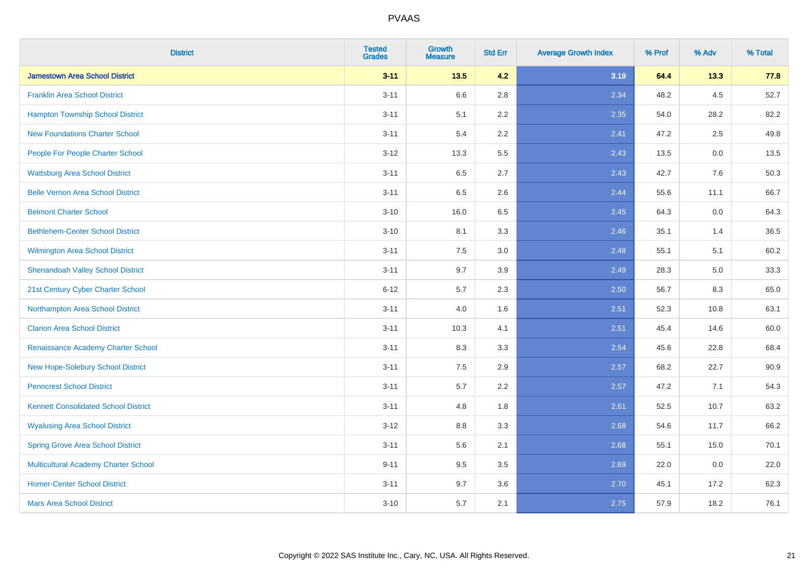| <b>District</b>                             | <b>Tested</b><br><b>Grades</b> | <b>Growth</b><br><b>Measure</b> | <b>Std Err</b> | <b>Average Growth Index</b> | % Prof | % Adv | % Total |
|---------------------------------------------|--------------------------------|---------------------------------|----------------|-----------------------------|--------|-------|---------|
| <b>Jamestown Area School District</b>       | $3 - 11$                       | 13.5                            | 4.2            | 3.19                        | 64.4   | 13.3  | 77.8    |
| <b>Franklin Area School District</b>        | $3 - 11$                       | 6.6                             | 2.8            | 2.34                        | 48.2   | 4.5   | 52.7    |
| <b>Hampton Township School District</b>     | $3 - 11$                       | 5.1                             | 2.2            | 2.35                        | 54.0   | 28.2  | 82.2    |
| <b>New Foundations Charter School</b>       | $3 - 11$                       | 5.4                             | 2.2            | 2.41                        | 47.2   | 2.5   | 49.8    |
| People For People Charter School            | $3 - 12$                       | 13.3                            | 5.5            | 2.43                        | 13.5   | 0.0   | 13.5    |
| <b>Wattsburg Area School District</b>       | $3 - 11$                       | 6.5                             | 2.7            | 2.43                        | 42.7   | 7.6   | 50.3    |
| <b>Belle Vernon Area School District</b>    | $3 - 11$                       | 6.5                             | 2.6            | 2.44                        | 55.6   | 11.1  | 66.7    |
| <b>Belmont Charter School</b>               | $3 - 10$                       | 16.0                            | 6.5            | 2.45                        | 64.3   | 0.0   | 64.3    |
| <b>Bethlehem-Center School District</b>     | $3 - 10$                       | 8.1                             | 3.3            | 2.46                        | 35.1   | 1.4   | 36.5    |
| <b>Wilmington Area School District</b>      | $3 - 11$                       | 7.5                             | 3.0            | 2.48                        | 55.1   | 5.1   | 60.2    |
| <b>Shenandoah Valley School District</b>    | $3 - 11$                       | 9.7                             | 3.9            | 2.49                        | 28.3   | 5.0   | 33.3    |
| 21st Century Cyber Charter School           | $6 - 12$                       | 5.7                             | 2.3            | 2.50                        | 56.7   | 8.3   | 65.0    |
| Northampton Area School District            | $3 - 11$                       | 4.0                             | 1.6            | 2.51                        | 52.3   | 10.8  | 63.1    |
| <b>Clarion Area School District</b>         | $3 - 11$                       | 10.3                            | 4.1            | 2.51                        | 45.4   | 14.6  | 60.0    |
| Renaissance Academy Charter School          | $3 - 11$                       | 8.3                             | 3.3            | 2.54                        | 45.6   | 22.8  | 68.4    |
| New Hope-Solebury School District           | $3 - 11$                       | $7.5\,$                         | 2.9            | 2.57                        | 68.2   | 22.7  | 90.9    |
| <b>Penncrest School District</b>            | $3 - 11$                       | 5.7                             | 2.2            | 2.57                        | 47.2   | 7.1   | 54.3    |
| <b>Kennett Consolidated School District</b> | $3 - 11$                       | 4.8                             | 1.8            | 2.61                        | 52.5   | 10.7  | 63.2    |
| <b>Wyalusing Area School District</b>       | $3 - 12$                       | $8.8\,$                         | 3.3            | 2.68                        | 54.6   | 11.7  | 66.2    |
| <b>Spring Grove Area School District</b>    | $3 - 11$                       | 5.6                             | 2.1            | 2.68                        | 55.1   | 15.0  | 70.1    |
| <b>Multicultural Academy Charter School</b> | $9 - 11$                       | 9.5                             | 3.5            | 2.69                        | 22.0   | 0.0   | 22.0    |
| <b>Homer-Center School District</b>         | $3 - 11$                       | 9.7                             | 3.6            | 2.70                        | 45.1   | 17.2  | 62.3    |
| <b>Mars Area School District</b>            | $3 - 10$                       | 5.7                             | 2.1            | 2.75                        | 57.9   | 18.2  | 76.1    |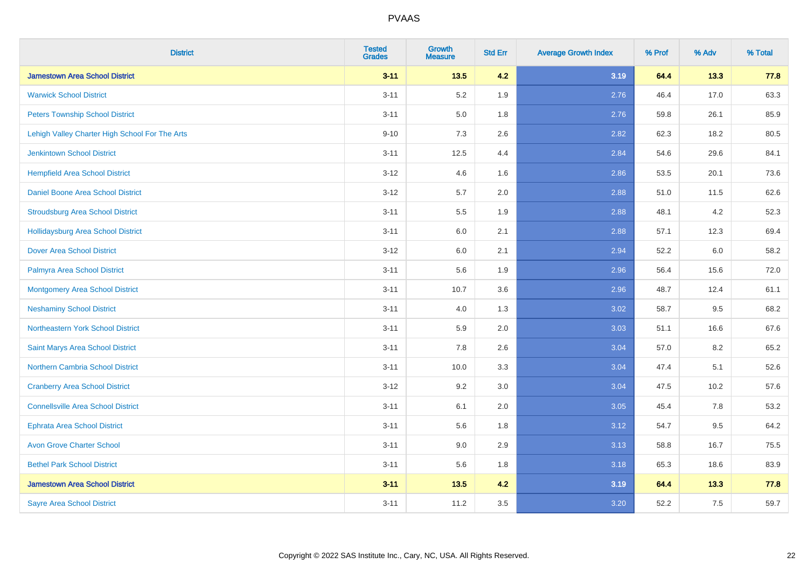| <b>District</b>                                | <b>Tested</b><br><b>Grades</b> | <b>Growth</b><br><b>Measure</b> | <b>Std Err</b> | <b>Average Growth Index</b> | % Prof | % Adv | % Total |
|------------------------------------------------|--------------------------------|---------------------------------|----------------|-----------------------------|--------|-------|---------|
| <b>Jamestown Area School District</b>          | $3 - 11$                       | 13.5                            | 4.2            | 3.19                        | 64.4   | 13.3  | 77.8    |
| <b>Warwick School District</b>                 | $3 - 11$                       | 5.2                             | 1.9            | 2.76                        | 46.4   | 17.0  | 63.3    |
| <b>Peters Township School District</b>         | $3 - 11$                       | 5.0                             | 1.8            | 2.76                        | 59.8   | 26.1  | 85.9    |
| Lehigh Valley Charter High School For The Arts | $9 - 10$                       | 7.3                             | 2.6            | 2.82                        | 62.3   | 18.2  | 80.5    |
| <b>Jenkintown School District</b>              | $3 - 11$                       | 12.5                            | 4.4            | 2.84                        | 54.6   | 29.6  | 84.1    |
| <b>Hempfield Area School District</b>          | $3 - 12$                       | 4.6                             | 1.6            | 2.86                        | 53.5   | 20.1  | 73.6    |
| Daniel Boone Area School District              | $3 - 12$                       | 5.7                             | 2.0            | 2.88                        | 51.0   | 11.5  | 62.6    |
| <b>Stroudsburg Area School District</b>        | $3 - 11$                       | 5.5                             | 1.9            | 2.88                        | 48.1   | 4.2   | 52.3    |
| <b>Hollidaysburg Area School District</b>      | $3 - 11$                       | 6.0                             | 2.1            | 2.88                        | 57.1   | 12.3  | 69.4    |
| <b>Dover Area School District</b>              | $3 - 12$                       | 6.0                             | 2.1            | 2.94                        | 52.2   | 6.0   | 58.2    |
| Palmyra Area School District                   | $3 - 11$                       | 5.6                             | 1.9            | 2.96                        | 56.4   | 15.6  | 72.0    |
| <b>Montgomery Area School District</b>         | $3 - 11$                       | 10.7                            | 3.6            | 2.96                        | 48.7   | 12.4  | 61.1    |
| <b>Neshaminy School District</b>               | $3 - 11$                       | 4.0                             | 1.3            | 3.02                        | 58.7   | 9.5   | 68.2    |
| Northeastern York School District              | $3 - 11$                       | 5.9                             | 2.0            | 3.03                        | 51.1   | 16.6  | 67.6    |
| Saint Marys Area School District               | $3 - 11$                       | 7.8                             | 2.6            | 3.04                        | 57.0   | 8.2   | 65.2    |
| Northern Cambria School District               | $3 - 11$                       | 10.0                            | 3.3            | 3.04                        | 47.4   | 5.1   | 52.6    |
| <b>Cranberry Area School District</b>          | $3 - 12$                       | 9.2                             | 3.0            | 3.04                        | 47.5   | 10.2  | 57.6    |
| <b>Connellsville Area School District</b>      | $3 - 11$                       | 6.1                             | 2.0            | 3.05                        | 45.4   | 7.8   | 53.2    |
| <b>Ephrata Area School District</b>            | $3 - 11$                       | 5.6                             | 1.8            | 3.12                        | 54.7   | 9.5   | 64.2    |
| <b>Avon Grove Charter School</b>               | $3 - 11$                       | 9.0                             | 2.9            | 3.13                        | 58.8   | 16.7  | 75.5    |
| <b>Bethel Park School District</b>             | $3 - 11$                       | 5.6                             | 1.8            | 3.18                        | 65.3   | 18.6  | 83.9    |
| <b>Jamestown Area School District</b>          | $3 - 11$                       | 13.5                            | 4.2            | 3.19                        | 64.4   | 13.3  | 77.8    |
| <b>Sayre Area School District</b>              | $3 - 11$                       | 11.2                            | 3.5            | 3.20                        | 52.2   | 7.5   | 59.7    |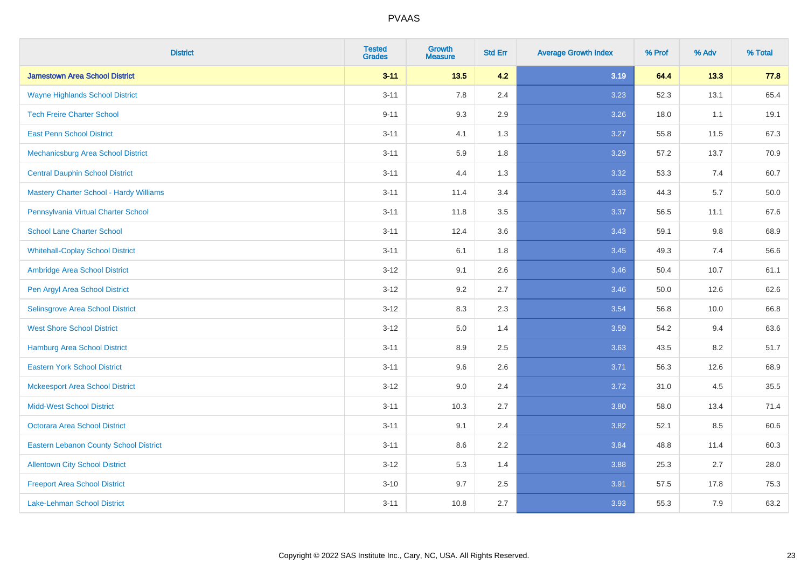| <b>District</b>                                | <b>Tested</b><br><b>Grades</b> | <b>Growth</b><br><b>Measure</b> | <b>Std Err</b> | <b>Average Growth Index</b> | % Prof | % Adv | % Total |
|------------------------------------------------|--------------------------------|---------------------------------|----------------|-----------------------------|--------|-------|---------|
| <b>Jamestown Area School District</b>          | $3 - 11$                       | $13.5$                          | 4.2            | 3.19                        | 64.4   | 13.3  | 77.8    |
| <b>Wayne Highlands School District</b>         | $3 - 11$                       | 7.8                             | 2.4            | 3.23                        | 52.3   | 13.1  | 65.4    |
| <b>Tech Freire Charter School</b>              | $9 - 11$                       | 9.3                             | 2.9            | 3.26                        | 18.0   | 1.1   | 19.1    |
| <b>East Penn School District</b>               | $3 - 11$                       | 4.1                             | 1.3            | 3.27                        | 55.8   | 11.5  | 67.3    |
| Mechanicsburg Area School District             | $3 - 11$                       | 5.9                             | 1.8            | 3.29                        | 57.2   | 13.7  | 70.9    |
| <b>Central Dauphin School District</b>         | $3 - 11$                       | 4.4                             | 1.3            | 3.32                        | 53.3   | 7.4   | 60.7    |
| <b>Mastery Charter School - Hardy Williams</b> | $3 - 11$                       | 11.4                            | 3.4            | 3.33                        | 44.3   | 5.7   | 50.0    |
| Pennsylvania Virtual Charter School            | $3 - 11$                       | 11.8                            | 3.5            | 3.37                        | 56.5   | 11.1  | 67.6    |
| <b>School Lane Charter School</b>              | $3 - 11$                       | 12.4                            | 3.6            | 3.43                        | 59.1   | 9.8   | 68.9    |
| <b>Whitehall-Coplay School District</b>        | $3 - 11$                       | 6.1                             | 1.8            | 3.45                        | 49.3   | 7.4   | 56.6    |
| Ambridge Area School District                  | $3 - 12$                       | 9.1                             | 2.6            | 3.46                        | 50.4   | 10.7  | 61.1    |
| Pen Argyl Area School District                 | $3 - 12$                       | 9.2                             | 2.7            | 3.46                        | 50.0   | 12.6  | 62.6    |
| Selinsgrove Area School District               | $3 - 12$                       | 8.3                             | 2.3            | 3.54                        | 56.8   | 10.0  | 66.8    |
| <b>West Shore School District</b>              | $3 - 12$                       | 5.0                             | 1.4            | 3.59                        | 54.2   | 9.4   | 63.6    |
| <b>Hamburg Area School District</b>            | $3 - 11$                       | 8.9                             | 2.5            | 3.63                        | 43.5   | 8.2   | 51.7    |
| <b>Eastern York School District</b>            | $3 - 11$                       | 9.6                             | 2.6            | 3.71                        | 56.3   | 12.6  | 68.9    |
| <b>Mckeesport Area School District</b>         | $3 - 12$                       | 9.0                             | 2.4            | 3.72                        | 31.0   | 4.5   | 35.5    |
| <b>Midd-West School District</b>               | $3 - 11$                       | 10.3                            | 2.7            | 3.80                        | 58.0   | 13.4  | 71.4    |
| <b>Octorara Area School District</b>           | $3 - 11$                       | 9.1                             | 2.4            | 3.82                        | 52.1   | 8.5   | 60.6    |
| <b>Eastern Lebanon County School District</b>  | $3 - 11$                       | 8.6                             | 2.2            | 3.84                        | 48.8   | 11.4  | 60.3    |
| <b>Allentown City School District</b>          | $3 - 12$                       | 5.3                             | 1.4            | 3.88                        | 25.3   | 2.7   | 28.0    |
| <b>Freeport Area School District</b>           | $3 - 10$                       | 9.7                             | 2.5            | 3.91                        | 57.5   | 17.8  | 75.3    |
| <b>Lake-Lehman School District</b>             | $3 - 11$                       | 10.8                            | 2.7            | 3.93                        | 55.3   | 7.9   | 63.2    |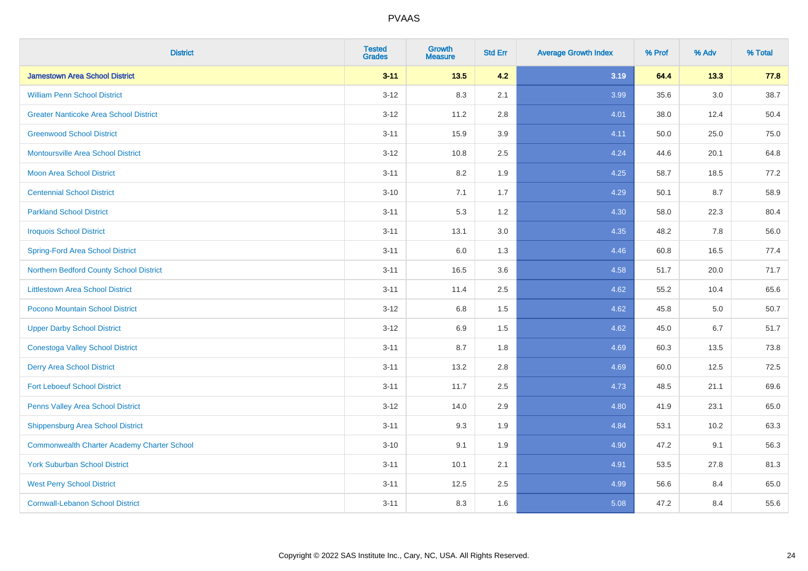| <b>District</b>                                    | <b>Tested</b><br><b>Grades</b> | <b>Growth</b><br><b>Measure</b> | <b>Std Err</b> | <b>Average Growth Index</b> | % Prof | % Adv | % Total |
|----------------------------------------------------|--------------------------------|---------------------------------|----------------|-----------------------------|--------|-------|---------|
| <b>Jamestown Area School District</b>              | $3 - 11$                       | 13.5                            | 4.2            | 3.19                        | 64.4   | 13.3  | 77.8    |
| <b>William Penn School District</b>                | $3 - 12$                       | 8.3                             | 2.1            | 3.99                        | 35.6   | 3.0   | 38.7    |
| <b>Greater Nanticoke Area School District</b>      | $3 - 12$                       | 11.2                            | 2.8            | 4.01                        | 38.0   | 12.4  | 50.4    |
| <b>Greenwood School District</b>                   | $3 - 11$                       | 15.9                            | 3.9            | 4.11                        | 50.0   | 25.0  | 75.0    |
| <b>Montoursville Area School District</b>          | $3 - 12$                       | 10.8                            | 2.5            | 4.24                        | 44.6   | 20.1  | 64.8    |
| <b>Moon Area School District</b>                   | $3 - 11$                       | 8.2                             | 1.9            | 4.25                        | 58.7   | 18.5  | 77.2    |
| <b>Centennial School District</b>                  | $3 - 10$                       | 7.1                             | 1.7            | 4.29                        | 50.1   | 8.7   | 58.9    |
| <b>Parkland School District</b>                    | $3 - 11$                       | 5.3                             | 1.2            | 4.30                        | 58.0   | 22.3  | 80.4    |
| <b>Iroquois School District</b>                    | $3 - 11$                       | 13.1                            | 3.0            | 4.35                        | 48.2   | 7.8   | 56.0    |
| <b>Spring-Ford Area School District</b>            | $3 - 11$                       | 6.0                             | 1.3            | 4.46                        | 60.8   | 16.5  | 77.4    |
| Northern Bedford County School District            | $3 - 11$                       | 16.5                            | 3.6            | 4.58                        | 51.7   | 20.0  | 71.7    |
| <b>Littlestown Area School District</b>            | $3 - 11$                       | 11.4                            | 2.5            | 4.62                        | 55.2   | 10.4  | 65.6    |
| Pocono Mountain School District                    | $3 - 12$                       | 6.8                             | 1.5            | 4.62                        | 45.8   | 5.0   | 50.7    |
| <b>Upper Darby School District</b>                 | $3 - 12$                       | 6.9                             | 1.5            | 4.62                        | 45.0   | 6.7   | 51.7    |
| <b>Conestoga Valley School District</b>            | $3 - 11$                       | 8.7                             | 1.8            | 4.69                        | 60.3   | 13.5  | 73.8    |
| <b>Derry Area School District</b>                  | $3 - 11$                       | 13.2                            | 2.8            | 4.69                        | 60.0   | 12.5  | 72.5    |
| <b>Fort Leboeuf School District</b>                | $3 - 11$                       | 11.7                            | 2.5            | 4.73                        | 48.5   | 21.1  | 69.6    |
| Penns Valley Area School District                  | $3 - 12$                       | 14.0                            | 2.9            | 4.80                        | 41.9   | 23.1  | 65.0    |
| <b>Shippensburg Area School District</b>           | $3 - 11$                       | 9.3                             | 1.9            | 4.84                        | 53.1   | 10.2  | 63.3    |
| <b>Commonwealth Charter Academy Charter School</b> | $3 - 10$                       | 9.1                             | 1.9            | 4.90                        | 47.2   | 9.1   | 56.3    |
| <b>York Suburban School District</b>               | $3 - 11$                       | 10.1                            | 2.1            | 4.91                        | 53.5   | 27.8  | 81.3    |
| <b>West Perry School District</b>                  | $3 - 11$                       | 12.5                            | 2.5            | 4.99                        | 56.6   | 8.4   | 65.0    |
| <b>Cornwall-Lebanon School District</b>            | $3 - 11$                       | 8.3                             | 1.6            | 5.08                        | 47.2   | 8.4   | 55.6    |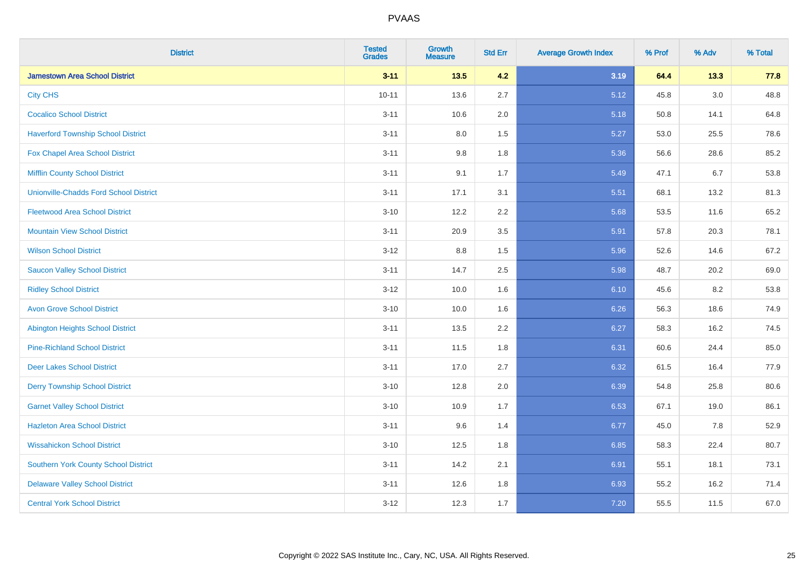| <b>District</b>                               | <b>Tested</b><br><b>Grades</b> | <b>Growth</b><br><b>Measure</b> | <b>Std Err</b> | <b>Average Growth Index</b> | % Prof | % Adv   | % Total |
|-----------------------------------------------|--------------------------------|---------------------------------|----------------|-----------------------------|--------|---------|---------|
| <b>Jamestown Area School District</b>         | $3 - 11$                       | 13.5                            | 4.2            | 3.19                        | 64.4   | 13.3    | 77.8    |
| <b>City CHS</b>                               | $10 - 11$                      | 13.6                            | 2.7            | 5.12                        | 45.8   | $3.0\,$ | 48.8    |
| <b>Cocalico School District</b>               | $3 - 11$                       | 10.6                            | 2.0            | 5.18                        | 50.8   | 14.1    | 64.8    |
| <b>Haverford Township School District</b>     | $3 - 11$                       | $8.0\,$                         | 1.5            | 5.27                        | 53.0   | 25.5    | 78.6    |
| Fox Chapel Area School District               | $3 - 11$                       | 9.8                             | 1.8            | 5.36                        | 56.6   | 28.6    | 85.2    |
| <b>Mifflin County School District</b>         | $3 - 11$                       | 9.1                             | 1.7            | 5.49                        | 47.1   | 6.7     | 53.8    |
| <b>Unionville-Chadds Ford School District</b> | $3 - 11$                       | 17.1                            | 3.1            | 5.51                        | 68.1   | 13.2    | 81.3    |
| <b>Fleetwood Area School District</b>         | $3 - 10$                       | 12.2                            | 2.2            | 5.68                        | 53.5   | 11.6    | 65.2    |
| <b>Mountain View School District</b>          | $3 - 11$                       | 20.9                            | 3.5            | 5.91                        | 57.8   | 20.3    | 78.1    |
| <b>Wilson School District</b>                 | $3 - 12$                       | 8.8                             | 1.5            | 5.96                        | 52.6   | 14.6    | 67.2    |
| <b>Saucon Valley School District</b>          | $3 - 11$                       | 14.7                            | 2.5            | 5.98                        | 48.7   | 20.2    | 69.0    |
| <b>Ridley School District</b>                 | $3 - 12$                       | 10.0                            | 1.6            | 6.10                        | 45.6   | 8.2     | 53.8    |
| <b>Avon Grove School District</b>             | $3 - 10$                       | 10.0                            | 1.6            | 6.26                        | 56.3   | 18.6    | 74.9    |
| <b>Abington Heights School District</b>       | $3 - 11$                       | 13.5                            | 2.2            | 6.27                        | 58.3   | 16.2    | 74.5    |
| <b>Pine-Richland School District</b>          | $3 - 11$                       | 11.5                            | 1.8            | 6.31                        | 60.6   | 24.4    | 85.0    |
| <b>Deer Lakes School District</b>             | $3 - 11$                       | 17.0                            | 2.7            | 6.32                        | 61.5   | 16.4    | 77.9    |
| <b>Derry Township School District</b>         | $3 - 10$                       | 12.8                            | 2.0            | 6.39                        | 54.8   | 25.8    | 80.6    |
| <b>Garnet Valley School District</b>          | $3 - 10$                       | 10.9                            | 1.7            | 6.53                        | 67.1   | 19.0    | 86.1    |
| <b>Hazleton Area School District</b>          | $3 - 11$                       | 9.6                             | 1.4            | 6.77                        | 45.0   | 7.8     | 52.9    |
| <b>Wissahickon School District</b>            | $3 - 10$                       | 12.5                            | 1.8            | 6.85                        | 58.3   | 22.4    | 80.7    |
| <b>Southern York County School District</b>   | $3 - 11$                       | 14.2                            | 2.1            | 6.91                        | 55.1   | 18.1    | 73.1    |
| <b>Delaware Valley School District</b>        | $3 - 11$                       | 12.6                            | 1.8            | 6.93                        | 55.2   | 16.2    | 71.4    |
| <b>Central York School District</b>           | $3-12$                         | 12.3                            | 1.7            | 7.20                        | 55.5   | 11.5    | 67.0    |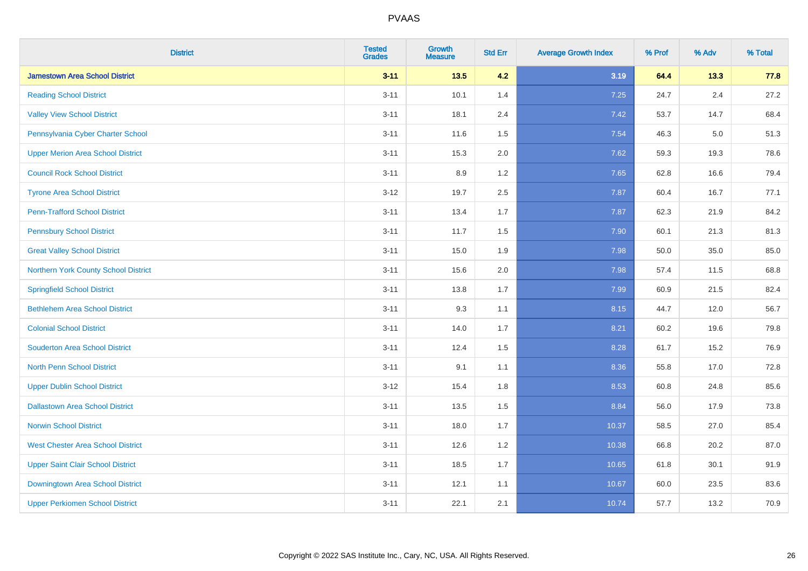| <b>District</b>                          | <b>Tested</b><br><b>Grades</b> | <b>Growth</b><br><b>Measure</b> | <b>Std Err</b> | <b>Average Growth Index</b> | % Prof | % Adv | % Total |
|------------------------------------------|--------------------------------|---------------------------------|----------------|-----------------------------|--------|-------|---------|
| <b>Jamestown Area School District</b>    | $3 - 11$                       | $13.5$                          | 4.2            | 3.19                        | 64.4   | 13.3  | 77.8    |
| <b>Reading School District</b>           | $3 - 11$                       | 10.1                            | 1.4            | 7.25                        | 24.7   | 2.4   | 27.2    |
| <b>Valley View School District</b>       | $3 - 11$                       | 18.1                            | 2.4            | 7.42                        | 53.7   | 14.7  | 68.4    |
| Pennsylvania Cyber Charter School        | $3 - 11$                       | 11.6                            | 1.5            | 7.54                        | 46.3   | 5.0   | 51.3    |
| <b>Upper Merion Area School District</b> | $3 - 11$                       | 15.3                            | 2.0            | 7.62                        | 59.3   | 19.3  | 78.6    |
| <b>Council Rock School District</b>      | $3 - 11$                       | 8.9                             | 1.2            | 7.65                        | 62.8   | 16.6  | 79.4    |
| <b>Tyrone Area School District</b>       | $3 - 12$                       | 19.7                            | 2.5            | 7.87                        | 60.4   | 16.7  | 77.1    |
| <b>Penn-Trafford School District</b>     | $3 - 11$                       | 13.4                            | 1.7            | 7.87                        | 62.3   | 21.9  | 84.2    |
| <b>Pennsbury School District</b>         | $3 - 11$                       | 11.7                            | 1.5            | 7.90                        | 60.1   | 21.3  | 81.3    |
| <b>Great Valley School District</b>      | $3 - 11$                       | 15.0                            | 1.9            | 7.98                        | 50.0   | 35.0  | 85.0    |
| Northern York County School District     | $3 - 11$                       | 15.6                            | 2.0            | 7.98                        | 57.4   | 11.5  | 68.8    |
| <b>Springfield School District</b>       | $3 - 11$                       | 13.8                            | 1.7            | 7.99                        | 60.9   | 21.5  | 82.4    |
| <b>Bethlehem Area School District</b>    | $3 - 11$                       | 9.3                             | 1.1            | 8.15                        | 44.7   | 12.0  | 56.7    |
| <b>Colonial School District</b>          | $3 - 11$                       | 14.0                            | 1.7            | 8.21                        | 60.2   | 19.6  | 79.8    |
| <b>Souderton Area School District</b>    | $3 - 11$                       | 12.4                            | 1.5            | 8.28                        | 61.7   | 15.2  | 76.9    |
| <b>North Penn School District</b>        | $3 - 11$                       | 9.1                             | 1.1            | 8.36                        | 55.8   | 17.0  | 72.8    |
| <b>Upper Dublin School District</b>      | $3 - 12$                       | 15.4                            | 1.8            | 8.53                        | 60.8   | 24.8  | 85.6    |
| <b>Dallastown Area School District</b>   | $3 - 11$                       | 13.5                            | 1.5            | 8.84                        | 56.0   | 17.9  | 73.8    |
| <b>Norwin School District</b>            | $3 - 11$                       | 18.0                            | 1.7            | 10.37                       | 58.5   | 27.0  | 85.4    |
| <b>West Chester Area School District</b> | $3 - 11$                       | 12.6                            | 1.2            | 10.38                       | 66.8   | 20.2  | 87.0    |
| <b>Upper Saint Clair School District</b> | $3 - 11$                       | 18.5                            | 1.7            | 10.65                       | 61.8   | 30.1  | 91.9    |
| Downingtown Area School District         | $3 - 11$                       | 12.1                            | 1.1            | 10.67                       | 60.0   | 23.5  | 83.6    |
| <b>Upper Perkiomen School District</b>   | $3 - 11$                       | 22.1                            | 2.1            | 10.74                       | 57.7   | 13.2  | 70.9    |